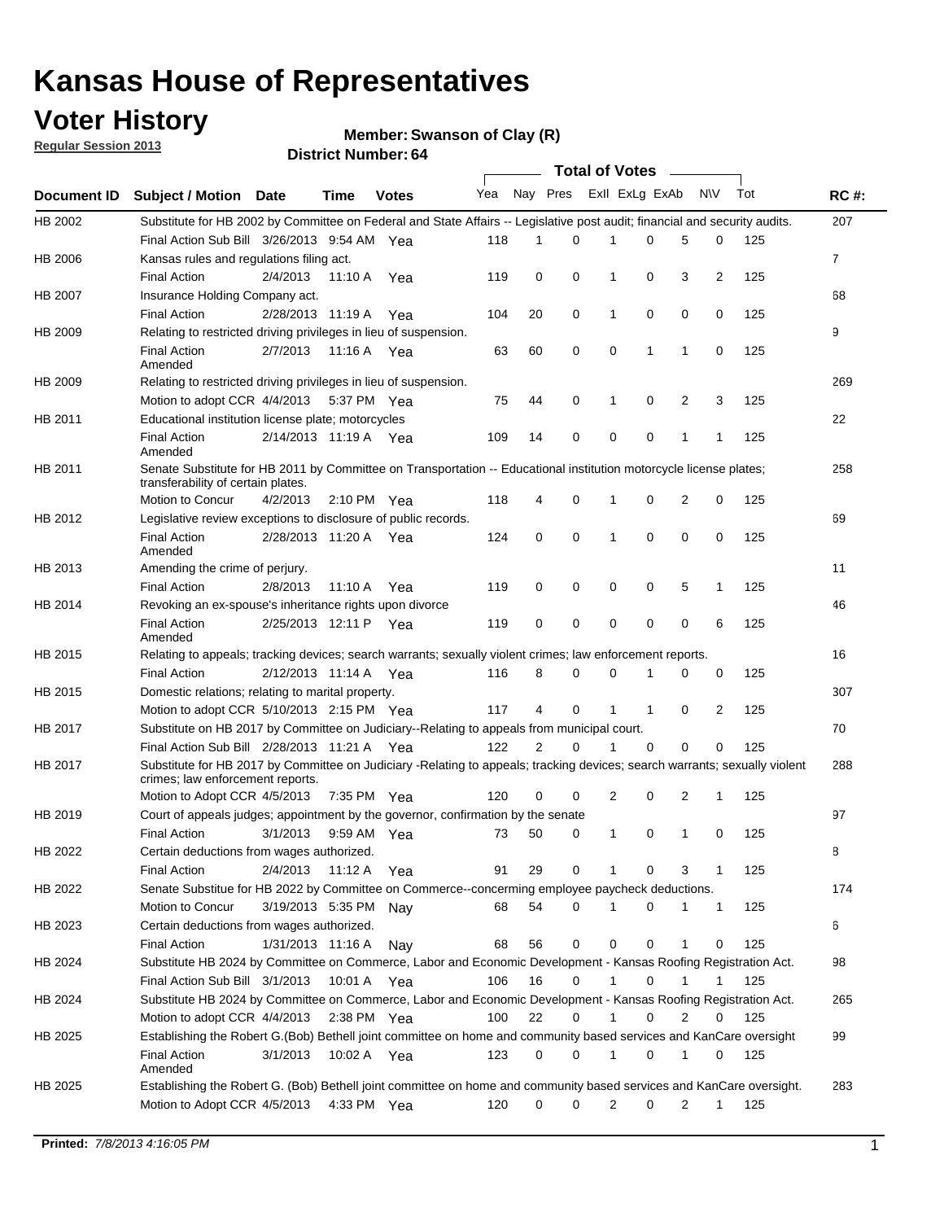## **Voter History**

**Member: Swanson of Clay (R)** 

**Regular Session 2013**

|             |                                                                                                                                                                |                       |                       |              |                             |    | Total of Votes ______ |   |   |                |              |     |                |
|-------------|----------------------------------------------------------------------------------------------------------------------------------------------------------------|-----------------------|-----------------------|--------------|-----------------------------|----|-----------------------|---|---|----------------|--------------|-----|----------------|
| Document ID | <b>Subject / Motion Date</b>                                                                                                                                   |                       | Time                  | <b>Votes</b> | Yea Nay Pres ExII ExLg ExAb |    |                       |   |   |                | N\V          | Tot | <b>RC#:</b>    |
| HB 2002     | Substitute for HB 2002 by Committee on Federal and State Affairs -- Legislative post audit; financial and security audits.                                     |                       |                       |              |                             |    |                       |   |   |                |              |     | 207            |
|             | Final Action Sub Bill 3/26/2013 9:54 AM Yea                                                                                                                    |                       |                       |              | 118                         | 1  | 0                     |   | 0 | 5              | 0            | 125 |                |
| HB 2006     | Kansas rules and regulations filing act.                                                                                                                       |                       |                       |              |                             |    |                       |   |   |                |              |     | $\overline{7}$ |
|             | <b>Final Action</b>                                                                                                                                            | 2/4/2013              | 11:10 A               | Yea          | 119                         | 0  | 0                     | 1 | 0 | 3              | 2            | 125 |                |
| HB 2007     | Insurance Holding Company act.                                                                                                                                 |                       |                       |              |                             |    |                       |   |   |                |              |     | 68             |
|             | <b>Final Action</b>                                                                                                                                            | 2/28/2013 11:19 A     |                       | Yea          | 104                         | 20 | 0                     | 1 | 0 | 0              | 0            | 125 |                |
| HB 2009     | Relating to restricted driving privileges in lieu of suspension.                                                                                               |                       |                       |              |                             |    |                       |   |   |                |              |     | 9              |
|             | <b>Final Action</b>                                                                                                                                            | 2/7/2013              | 11:16 A Yea           |              | 63                          | 60 | 0                     | 0 | 1 | 1              | 0            | 125 |                |
|             | Amended                                                                                                                                                        |                       |                       |              |                             |    |                       |   |   |                |              |     |                |
| HB 2009     | Relating to restricted driving privileges in lieu of suspension.                                                                                               |                       |                       |              |                             |    |                       |   |   |                |              |     | 269            |
|             | Motion to adopt CCR 4/4/2013                                                                                                                                   |                       | 5:37 PM Yea           |              | 75                          | 44 | 0                     | 1 | 0 | 2              | 3            | 125 |                |
| HB 2011     | Educational institution license plate; motorcycles                                                                                                             |                       |                       |              |                             |    |                       |   |   |                |              |     | 22             |
|             | <b>Final Action</b><br>Amended                                                                                                                                 | 2/14/2013 11:19 A Yea |                       |              | 109                         | 14 | 0                     | 0 | 0 | 1              | 1            | 125 |                |
| HB 2011     | Senate Substitute for HB 2011 by Committee on Transportation -- Educational institution motorcycle license plates;                                             |                       |                       |              |                             |    |                       |   |   |                |              |     | 258            |
|             | transferability of certain plates.                                                                                                                             |                       |                       |              |                             |    |                       |   |   |                |              |     |                |
|             | Motion to Concur                                                                                                                                               | 4/2/2013              | $2:10 \text{ PM}$ Yea |              | 118                         | 4  | 0                     | 1 | 0 | 2              | 0            | 125 |                |
| HB 2012     | Legislative review exceptions to disclosure of public records.                                                                                                 |                       |                       |              |                             |    |                       |   |   |                |              |     | 69             |
|             | <b>Final Action</b><br>Amended                                                                                                                                 | 2/28/2013 11:20 A Yea |                       |              | 124                         | 0  | 0                     | 1 | 0 | 0              | 0            | 125 |                |
| HB 2013     | Amending the crime of perjury.                                                                                                                                 |                       |                       |              |                             |    |                       |   |   |                |              |     | 11             |
|             | <b>Final Action</b>                                                                                                                                            | 2/8/2013              | 11:10 A               | Yea          | 119                         | 0  | 0                     | 0 | 0 | 5              | 1            | 125 |                |
| HB 2014     | Revoking an ex-spouse's inheritance rights upon divorce                                                                                                        |                       |                       |              |                             |    |                       |   |   |                |              |     | 46             |
|             | <b>Final Action</b><br>Amended                                                                                                                                 | 2/25/2013 12:11 P Yea |                       |              | 119                         | 0  | 0                     | 0 | 0 | 0              | 6            | 125 |                |
| HB 2015     | Relating to appeals; tracking devices; search warrants; sexually violent crimes; law enforcement reports.                                                      |                       |                       |              |                             |    |                       |   |   |                |              |     | 16             |
|             | <b>Final Action</b>                                                                                                                                            | 2/12/2013 11:14 A     |                       | Yea          | 116                         | 8  | 0                     | 0 | 1 | 0              | 0            | 125 |                |
| HB 2015     | Domestic relations; relating to marital property.                                                                                                              |                       |                       |              |                             |    |                       |   |   |                |              |     | 307            |
|             | Motion to adopt CCR 5/10/2013 2:15 PM Yea                                                                                                                      |                       |                       |              | 117                         | 4  | 0                     | 1 | 1 | 0              | 2            | 125 |                |
| HB 2017     | Substitute on HB 2017 by Committee on Judiciary--Relating to appeals from municipal court.                                                                     |                       |                       |              |                             |    |                       |   |   |                |              |     | 70             |
|             | Final Action Sub Bill 2/28/2013 11:21 A Yea                                                                                                                    |                       |                       |              | 122                         | 2  | 0                     | 1 | 0 | 0              | 0            | 125 |                |
| HB 2017     | Substitute for HB 2017 by Committee on Judiciary -Relating to appeals; tracking devices; search warrants; sexually violent<br>crimes; law enforcement reports. |                       |                       |              |                             |    |                       |   |   |                |              |     | 288            |
|             | Motion to Adopt CCR 4/5/2013                                                                                                                                   |                       | 7:35 PM Yea           |              | 120                         | 0  | 0                     | 2 | 0 | 2              | 1            | 125 |                |
| HB 2019     | Court of appeals judges; appointment by the governor, confirmation by the senate                                                                               |                       |                       |              |                             |    |                       |   |   |                |              |     | 97             |
|             | Final Action                                                                                                                                                   | 3/1/2013              | 9:59 AM Yea           |              | 73                          | 50 | 0                     | 1 | 0 | 1              | 0            | 125 |                |
| HB 2022     | Certain deductions from wages authorized.                                                                                                                      |                       |                       |              |                             |    |                       |   |   |                |              |     | В              |
|             | Final Action                                                                                                                                                   | 2/4/2013              | 11:12 A               | Yea          | 91                          | 29 | 0                     | 1 | 0 | 3              | 1            | 125 |                |
| HB 2022     | Senate Substitue for HB 2022 by Committee on Commerce--concerming employee paycheck deductions.                                                                |                       |                       |              |                             |    |                       |   |   |                |              |     | 174            |
|             |                                                                                                                                                                |                       |                       |              |                             |    |                       | 1 |   |                |              |     |                |
|             | Motion to Concur                                                                                                                                               | 3/19/2013 5:35 PM Nay |                       |              | 68                          | 54 | 0                     |   | 0 | 1              | $\mathbf{1}$ | 125 |                |
| HB 2023     | Certain deductions from wages authorized.                                                                                                                      |                       |                       |              |                             |    |                       |   |   |                |              |     | 6              |
|             | Final Action                                                                                                                                                   | 1/31/2013 11:16 A     |                       | Nav          | 68                          | 56 | 0                     | 0 | 0 | 1              | 0            | 125 |                |
| HB 2024     | Substitute HB 2024 by Committee on Commerce, Labor and Economic Development - Kansas Roofing Registration Act.                                                 |                       |                       |              |                             |    |                       |   |   |                |              |     | 98             |
|             | Final Action Sub Bill 3/1/2013                                                                                                                                 |                       | 10:01 A Yea           |              | 106                         | 16 | $\mathbf 0$           | 1 | 0 | 1              | 1            | 125 |                |
| HB 2024     | Substitute HB 2024 by Committee on Commerce, Labor and Economic Development - Kansas Roofing Registration Act.                                                 |                       |                       |              |                             |    |                       |   |   |                |              |     | 265            |
|             | Motion to adopt CCR 4/4/2013                                                                                                                                   |                       | $2:38$ PM Yea         |              | 100                         | 22 | 0                     | 1 | 0 | $\overline{2}$ | 0            | 125 |                |
| HB 2025     | Establishing the Robert G.(Bob) Bethell joint committee on home and community based services and KanCare oversight                                             |                       |                       |              |                             |    |                       |   |   |                |              |     | 99             |
|             | Final Action<br>Amended                                                                                                                                        | 3/1/2013              | 10:02 A Yea           |              | 123                         | 0  | 0                     | 1 | 0 | 1              | 0            | 125 |                |
| HB 2025     | Establishing the Robert G. (Bob) Bethell joint committee on home and community based services and KanCare oversight.                                           |                       |                       |              |                             |    |                       |   |   |                |              |     | 283            |
|             | Motion to Adopt CCR 4/5/2013                                                                                                                                   |                       | 4:33 PM Yea           |              | 120                         | 0  | 0                     | 2 | 0 | $\overline{2}$ | $\mathbf{1}$ | 125 |                |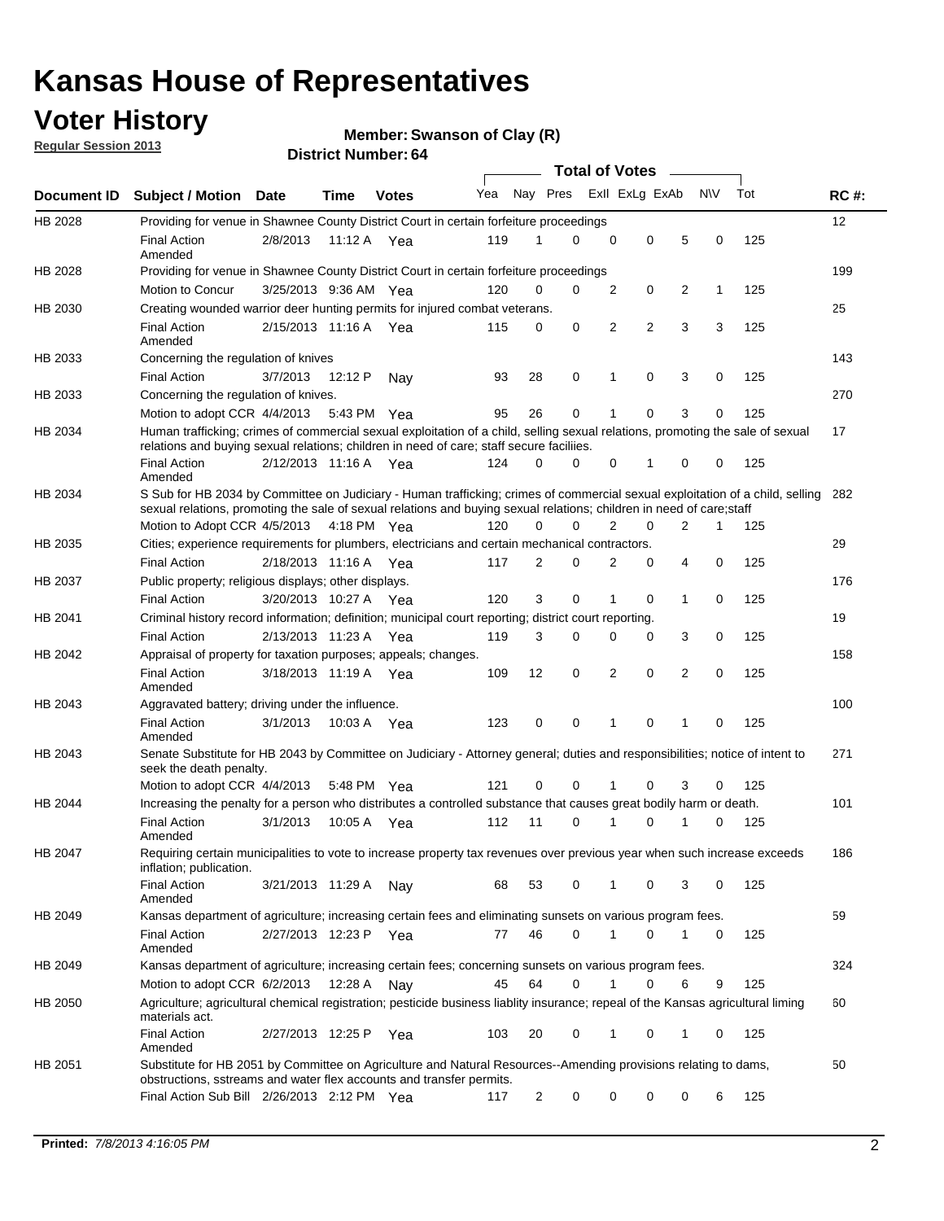## **Voter History**

**Member: Swanson of Clay (R)** 

**Regular Session 2013**

|                    |                                                                                                                                                                                                                                                       |                       |         |              |     |                         | <b>Total of Votes</b> |                |   |                |           |     |             |
|--------------------|-------------------------------------------------------------------------------------------------------------------------------------------------------------------------------------------------------------------------------------------------------|-----------------------|---------|--------------|-----|-------------------------|-----------------------|----------------|---|----------------|-----------|-----|-------------|
| <b>Document ID</b> | <b>Subject / Motion Date</b>                                                                                                                                                                                                                          |                       | Time    | <b>Votes</b> | Yea | Nay Pres Exll ExLg ExAb |                       |                |   |                | <b>NV</b> | Tot | <b>RC#:</b> |
| HB 2028            | Providing for venue in Shawnee County District Court in certain forfeiture proceedings                                                                                                                                                                |                       |         |              |     |                         |                       |                |   |                |           |     | 12          |
|                    | <b>Final Action</b><br>Amended                                                                                                                                                                                                                        | 2/8/2013              | 11:12 A | Yea          | 119 | 1                       | 0                     | 0              | 0 | 5              | 0         | 125 |             |
| HB 2028            | Providing for venue in Shawnee County District Court in certain forfeiture proceedings                                                                                                                                                                |                       |         |              |     |                         |                       |                |   |                |           |     | 199         |
|                    | Motion to Concur                                                                                                                                                                                                                                      | 3/25/2013 9:36 AM Yea |         |              | 120 | 0                       | 0                     | 2              | 0 | 2              | 1         | 125 |             |
| HB 2030            | Creating wounded warrior deer hunting permits for injured combat veterans.                                                                                                                                                                            |                       |         |              |     |                         |                       |                |   |                |           |     | 25          |
|                    | <b>Final Action</b><br>Amended                                                                                                                                                                                                                        | 2/15/2013 11:16 A     |         | Yea          | 115 | 0                       | 0                     | 2              | 2 | 3              | 3         | 125 |             |
| HB 2033            | Concerning the regulation of knives                                                                                                                                                                                                                   |                       |         |              |     |                         |                       |                |   |                |           |     | 143         |
|                    | <b>Final Action</b>                                                                                                                                                                                                                                   | 3/7/2013              | 12:12 P | Nav          | 93  | 28                      | 0                     | 1              | 0 | 3              | 0         | 125 |             |
| HB 2033            | Concerning the regulation of knives.                                                                                                                                                                                                                  |                       |         |              |     |                         |                       |                |   |                |           |     | 270         |
|                    | Motion to adopt CCR 4/4/2013                                                                                                                                                                                                                          |                       |         | 5:43 PM Yea  | 95  | 26                      | 0                     |                | 0 | 3              | 0         | 125 |             |
| HB 2034            | Human trafficking; crimes of commercial sexual exploitation of a child, selling sexual relations, promoting the sale of sexual<br>relations and buying sexual relations; children in need of care; staff secure faciliies.                            |                       |         |              |     |                         |                       |                |   |                |           |     | 17          |
|                    | <b>Final Action</b><br>Amended                                                                                                                                                                                                                        | 2/12/2013 11:16 A Yea |         |              | 124 | 0                       | 0                     | 0              | 1 | 0              | 0         | 125 |             |
| HB 2034            | S Sub for HB 2034 by Committee on Judiciary - Human trafficking; crimes of commercial sexual exploitation of a child, selling<br>sexual relations, promoting the sale of sexual relations and buying sexual relations; children in need of care;staff |                       |         |              |     |                         |                       |                |   |                |           |     | 282         |
|                    | Motion to Adopt CCR 4/5/2013 4:18 PM Yea                                                                                                                                                                                                              |                       |         |              | 120 | 0                       | 0                     | $\overline{2}$ | 0 | $\overline{2}$ | 1         | 125 |             |
| HB 2035            | Cities; experience requirements for plumbers, electricians and certain mechanical contractors.                                                                                                                                                        |                       |         |              |     |                         |                       |                |   |                |           |     | 29          |
|                    | <b>Final Action</b>                                                                                                                                                                                                                                   | 2/18/2013 11:16 A     |         | Yea          | 117 | 2                       | 0                     | 2              | 0 | 4              | 0         | 125 |             |
| HB 2037            | Public property; religious displays; other displays.                                                                                                                                                                                                  |                       |         |              |     |                         |                       |                |   |                |           |     | 176         |
|                    | <b>Final Action</b>                                                                                                                                                                                                                                   | 3/20/2013 10:27 A     |         | Yea          | 120 | 3                       | 0                     |                | 0 | 1              | 0         | 125 |             |
| HB 2041            | Criminal history record information; definition; municipal court reporting; district court reporting.                                                                                                                                                 |                       |         |              |     |                         |                       |                |   |                |           |     | 19          |
|                    | <b>Final Action</b>                                                                                                                                                                                                                                   | 2/13/2013 11:23 A     |         | Yea          | 119 | 3                       | 0                     | $\Omega$       | 0 | 3              | 0         | 125 |             |
| HB 2042            | Appraisal of property for taxation purposes; appeals; changes.                                                                                                                                                                                        |                       |         |              |     |                         |                       |                |   |                |           |     | 158         |
|                    | <b>Final Action</b><br>Amended                                                                                                                                                                                                                        | 3/18/2013 11:19 A Yea |         |              | 109 | 12                      | 0                     | 2              | 0 | 2              | 0         | 125 |             |
| HB 2043            | Aggravated battery; driving under the influence.                                                                                                                                                                                                      |                       |         |              |     |                         |                       |                |   |                |           |     | 100         |
|                    | <b>Final Action</b><br>Amended                                                                                                                                                                                                                        | 3/1/2013              |         | 10:03 A Yea  | 123 | 0                       | 0                     | 1              | 0 | 1              | 0         | 125 |             |
| HB 2043            | Senate Substitute for HB 2043 by Committee on Judiciary - Attorney general; duties and responsibilities; notice of intent to<br>seek the death penalty.                                                                                               |                       |         |              |     |                         |                       |                |   |                |           |     | 271         |
|                    | Motion to adopt CCR 4/4/2013                                                                                                                                                                                                                          |                       |         | 5:48 PM Yea  | 121 | 0                       | 0                     | 1              | 0 | 3              | 0         | 125 |             |
| HB 2044            | Increasing the penalty for a person who distributes a controlled substance that causes great bodily harm or death.                                                                                                                                    |                       |         |              |     |                         |                       |                |   |                |           |     | 101         |
|                    | <b>Final Action</b><br>Amended                                                                                                                                                                                                                        | 3/1/2013              | 10:05 A | Yea          | 112 | 11                      | 0                     | 1              | 0 | 1              | 0         | 125 |             |
| HB 2047            | Requiring certain municipalities to vote to increase property tax revenues over previous year when such increase exceeds<br>inflation; publication.                                                                                                   |                       |         |              |     |                         |                       |                |   |                |           |     | 186         |
|                    | <b>Final Action</b><br>Amended                                                                                                                                                                                                                        | 3/21/2013 11:29 A     |         | Nav          | 68  | 53                      | 0                     | 1              | 0 | 3              | 0         | 125 |             |
| HB 2049            | Kansas department of agriculture; increasing certain fees and eliminating sunsets on various program fees.                                                                                                                                            |                       |         |              |     |                         |                       |                |   |                |           |     | 59          |
|                    | <b>Final Action</b><br>Amended                                                                                                                                                                                                                        | 2/27/2013 12:23 P     |         | Yea          | 77  | 46                      | 0                     | 1              | 0 |                | 0         | 125 |             |
| HB 2049            | Kansas department of agriculture; increasing certain fees; concerning sunsets on various program fees.                                                                                                                                                |                       |         |              |     |                         |                       |                |   |                |           |     | 324         |
|                    | Motion to adopt CCR 6/2/2013                                                                                                                                                                                                                          |                       | 12:28 A | Nav          | 45  | 64                      | 0                     | 1              | 0 | 6              | 9         | 125 |             |
| HB 2050            | Agriculture; agricultural chemical registration; pesticide business liablity insurance; repeal of the Kansas agricultural liming<br>materials act.                                                                                                    |                       |         |              |     |                         |                       |                |   |                |           |     | 60          |
|                    | <b>Final Action</b><br>Amended                                                                                                                                                                                                                        | 2/27/2013 12:25 P     |         | Yea          | 103 | 20                      | 0                     |                | 0 | 1              | 0         | 125 |             |
| HB 2051            | Substitute for HB 2051 by Committee on Agriculture and Natural Resources--Amending provisions relating to dams,<br>obstructions, sstreams and water flex accounts and transfer permits.                                                               |                       |         |              |     |                         |                       |                |   |                |           |     | 50          |
|                    | Final Action Sub Bill 2/26/2013 2:12 PM Yea                                                                                                                                                                                                           |                       |         |              | 117 | $\overline{c}$          | 0                     | 0              | 0 | 0              | 6         | 125 |             |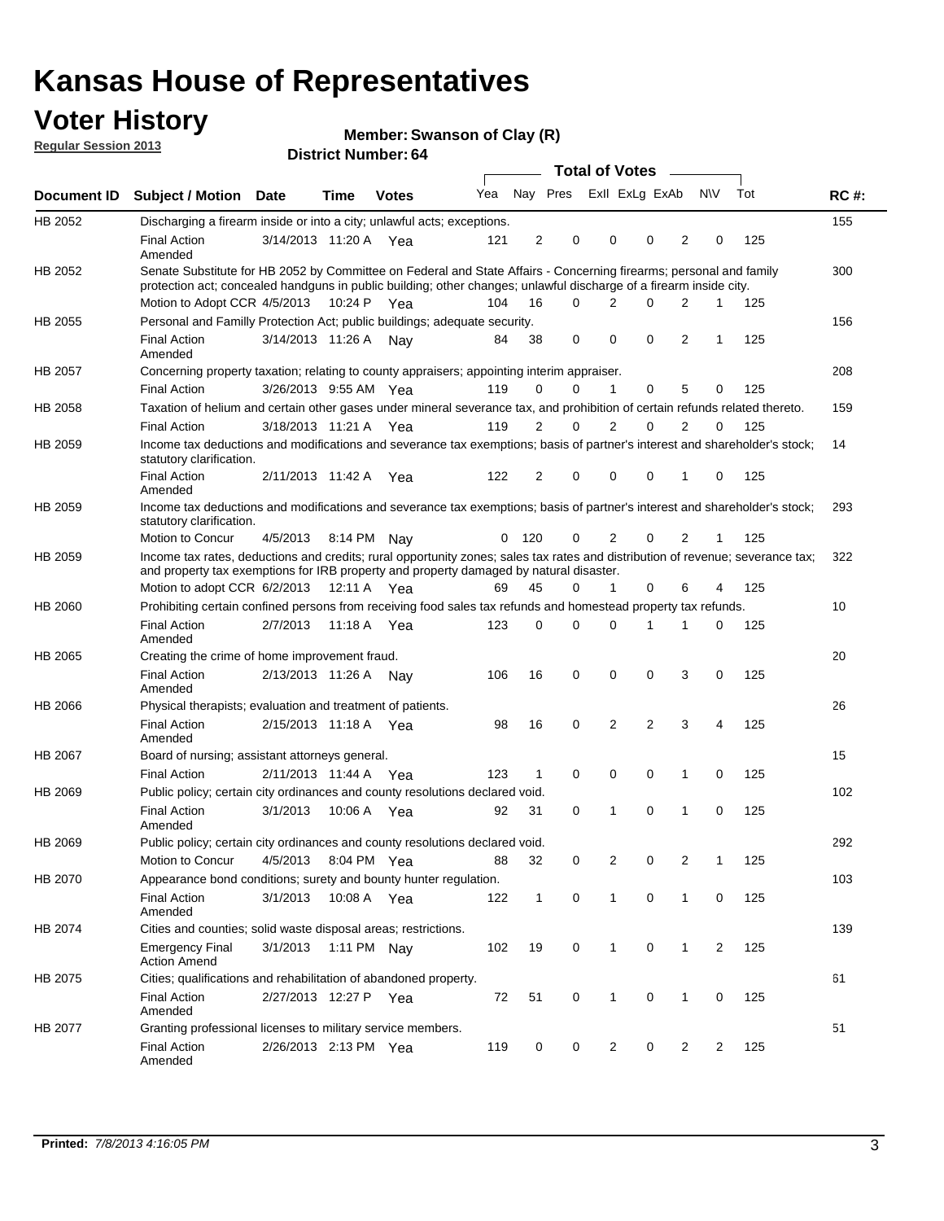## **Voter History**

**Member: Swanson of Clay (R)** 

**Regular Session 2013**

|                    |                                                                                                                                                                                                                                          |                       |             |              |     |              |             | <b>Total of Votes</b>      | $\sim$      |                |                |     |             |
|--------------------|------------------------------------------------------------------------------------------------------------------------------------------------------------------------------------------------------------------------------------------|-----------------------|-------------|--------------|-----|--------------|-------------|----------------------------|-------------|----------------|----------------|-----|-------------|
| Document <b>ID</b> | <b>Subject / Motion Date</b>                                                                                                                                                                                                             |                       | Time        | <b>Votes</b> | Yea |              |             | Nay Pres ExII ExLg ExAb    |             |                | N\V            | Tot | <b>RC#:</b> |
| HB 2052            | Discharging a firearm inside or into a city; unlawful acts; exceptions.                                                                                                                                                                  |                       |             |              |     |              |             |                            |             |                |                |     | 155         |
|                    | <b>Final Action</b><br>Amended                                                                                                                                                                                                           | 3/14/2013 11:20 A Yea |             |              | 121 | 2            | 0           | 0<br>0                     |             | 2              | 0              | 125 |             |
| HB 2052            | Senate Substitute for HB 2052 by Committee on Federal and State Affairs - Concerning firearms; personal and family<br>protection act; concealed handguns in public building; other changes; unlawful discharge of a firearm inside city. |                       |             |              |     |              |             |                            |             |                |                |     | 300         |
|                    | Motion to Adopt CCR 4/5/2013 10:24 P Yea                                                                                                                                                                                                 |                       |             |              | 104 | 16           | $\Omega$    | 2                          | 0           | $\overline{2}$ | $\mathbf{1}$   | 125 |             |
| HB 2055            | Personal and Familly Protection Act; public buildings; adequate security.                                                                                                                                                                |                       |             |              |     |              |             |                            |             |                |                |     | 156         |
|                    | <b>Final Action</b><br>Amended                                                                                                                                                                                                           | 3/14/2013 11:26 A     |             | Nay          | 84  | 38           | 0           | 0                          | $\mathbf 0$ | $\overline{2}$ | 1              | 125 |             |
| HB 2057            | Concerning property taxation; relating to county appraisers; appointing interim appraiser.                                                                                                                                               |                       |             |              |     |              |             |                            |             |                |                |     | 208         |
|                    | <b>Final Action</b>                                                                                                                                                                                                                      | 3/26/2013 9:55 AM Yea |             |              | 119 | 0            | 0           | 1                          | $\mathbf 0$ | 5              | 0              | 125 |             |
| HB 2058            | Taxation of helium and certain other gases under mineral severance tax, and prohibition of certain refunds related thereto.                                                                                                              |                       |             |              |     |              |             |                            |             |                |                |     | 159         |
|                    | <b>Final Action</b>                                                                                                                                                                                                                      | 3/18/2013 11:21 A Yea |             |              | 119 | 2            | $\Omega$    | $\overline{2}$<br>$\Omega$ |             | $\overline{2}$ | $\Omega$       | 125 |             |
| HB 2059            | Income tax deductions and modifications and severance tax exemptions; basis of partner's interest and shareholder's stock;<br>statutory clarification.                                                                                   |                       |             |              |     |              |             |                            |             |                |                |     | 14          |
|                    | <b>Final Action</b><br>Amended                                                                                                                                                                                                           | 2/11/2013 11:42 A Yea |             |              | 122 | 2            | 0           | 0<br>0                     |             | 1              | 0              | 125 |             |
| HB 2059            | Income tax deductions and modifications and severance tax exemptions; basis of partner's interest and shareholder's stock;<br>statutory clarification.                                                                                   |                       |             |              |     |              |             |                            |             |                |                |     | 293         |
|                    | Motion to Concur                                                                                                                                                                                                                         | 4/5/2013              | 8:14 PM Nav |              | 0   | 120          | 0           | 2                          | 0           | 2              | 1              | 125 |             |
| HB 2059            | Income tax rates, deductions and credits; rural opportunity zones; sales tax rates and distribution of revenue; severance tax;<br>and property tax exemptions for IRB property and property damaged by natural disaster.                 |                       |             |              |     |              |             |                            |             |                |                |     | 322         |
|                    | Motion to adopt CCR 6/2/2013                                                                                                                                                                                                             |                       | 12:11 A Yea |              | 69  | 45           | 0           | $\mathbf{1}$<br>0          |             | 6              | 4              | 125 |             |
| <b>HB 2060</b>     | Prohibiting certain confined persons from receiving food sales tax refunds and homestead property tax refunds.                                                                                                                           |                       |             |              |     |              |             |                            |             |                |                |     | 10          |
|                    | <b>Final Action</b><br>Amended                                                                                                                                                                                                           | 2/7/2013              |             | 11:18 A Yea  | 123 | 0            | $\Omega$    | 0<br>1                     |             | 1              | $\Omega$       | 125 |             |
| HB 2065            | Creating the crime of home improvement fraud.                                                                                                                                                                                            |                       |             |              |     |              |             |                            |             |                |                |     | 20          |
|                    | <b>Final Action</b><br>Amended                                                                                                                                                                                                           | 2/13/2013 11:26 A Nay |             |              | 106 | 16           | 0           | 0<br>0                     |             | 3              | 0              | 125 |             |
| <b>HB 2066</b>     | Physical therapists; evaluation and treatment of patients.                                                                                                                                                                               |                       |             |              |     |              |             |                            |             |                |                |     | 26          |
|                    | <b>Final Action</b><br>Amended                                                                                                                                                                                                           | 2/15/2013 11:18 A Yea |             |              | 98  | 16           | $\mathbf 0$ | $\overline{2}$             | 2           | 3              | 4              | 125 |             |
| HB 2067            | Board of nursing; assistant attorneys general.                                                                                                                                                                                           |                       |             |              |     |              |             |                            |             |                |                |     | 15          |
|                    | <b>Final Action</b>                                                                                                                                                                                                                      | 2/11/2013 11:44 A Yea |             |              | 123 | 1            | 0           | 0                          | 0           | 1              | 0              | 125 |             |
| HB 2069            | Public policy; certain city ordinances and county resolutions declared void.                                                                                                                                                             |                       |             |              |     |              |             |                            |             |                |                |     | 102         |
|                    | <b>Final Action</b><br>Amended                                                                                                                                                                                                           | 3/1/2013              |             | 10:06 A Yea  | 92  | 31           | $\mathbf 0$ | 0<br>1                     |             | 1              | 0              | 125 |             |
| HB 2069            | Public policy; certain city ordinances and county resolutions declared void.                                                                                                                                                             |                       |             |              |     |              |             |                            |             |                |                |     | 292         |
|                    | Motion to Concur                                                                                                                                                                                                                         | 4/5/2013 8:04 PM Yea  |             |              | 88  | 32           | 0           | 2                          | 0           | 2              | 1              | 125 |             |
| HB 2070            | Appearance bond conditions; surety and bounty hunter regulation.                                                                                                                                                                         |                       |             |              |     |              |             |                            |             |                |                |     | 103         |
|                    | <b>Final Action</b><br>Amended                                                                                                                                                                                                           | 3/1/2013              |             | 10:08 A Yea  | 122 | $\mathbf{1}$ | 0           | $\mathbf{1}$               | 0           | $\mathbf{1}$   | 0              | 125 |             |
| HB 2074            | Cities and counties; solid waste disposal areas; restrictions.                                                                                                                                                                           |                       |             |              |     |              |             |                            |             |                |                |     | 139         |
|                    | <b>Emergency Final</b><br><b>Action Amend</b>                                                                                                                                                                                            | 3/1/2013              |             | 1:11 PM Nay  | 102 | 19           | 0           | 1                          | 0           | 1              | $\overline{2}$ | 125 |             |
| HB 2075            | Cities; qualifications and rehabilitation of abandoned property.                                                                                                                                                                         |                       |             |              |     |              |             |                            |             |                |                |     | 61          |
|                    | <b>Final Action</b><br>Amended                                                                                                                                                                                                           | 2/27/2013 12:27 P Yea |             |              | 72  | 51           | 0           | 1                          | 0           | 1              | 0              | 125 |             |
| HB 2077            | Granting professional licenses to military service members.<br>Final Action<br>Amended                                                                                                                                                   | 2/26/2013 2:13 PM Yea |             |              | 119 | 0            | 0           | $\overline{2}$             | 0           | $\overline{2}$ | 2              | 125 | 51          |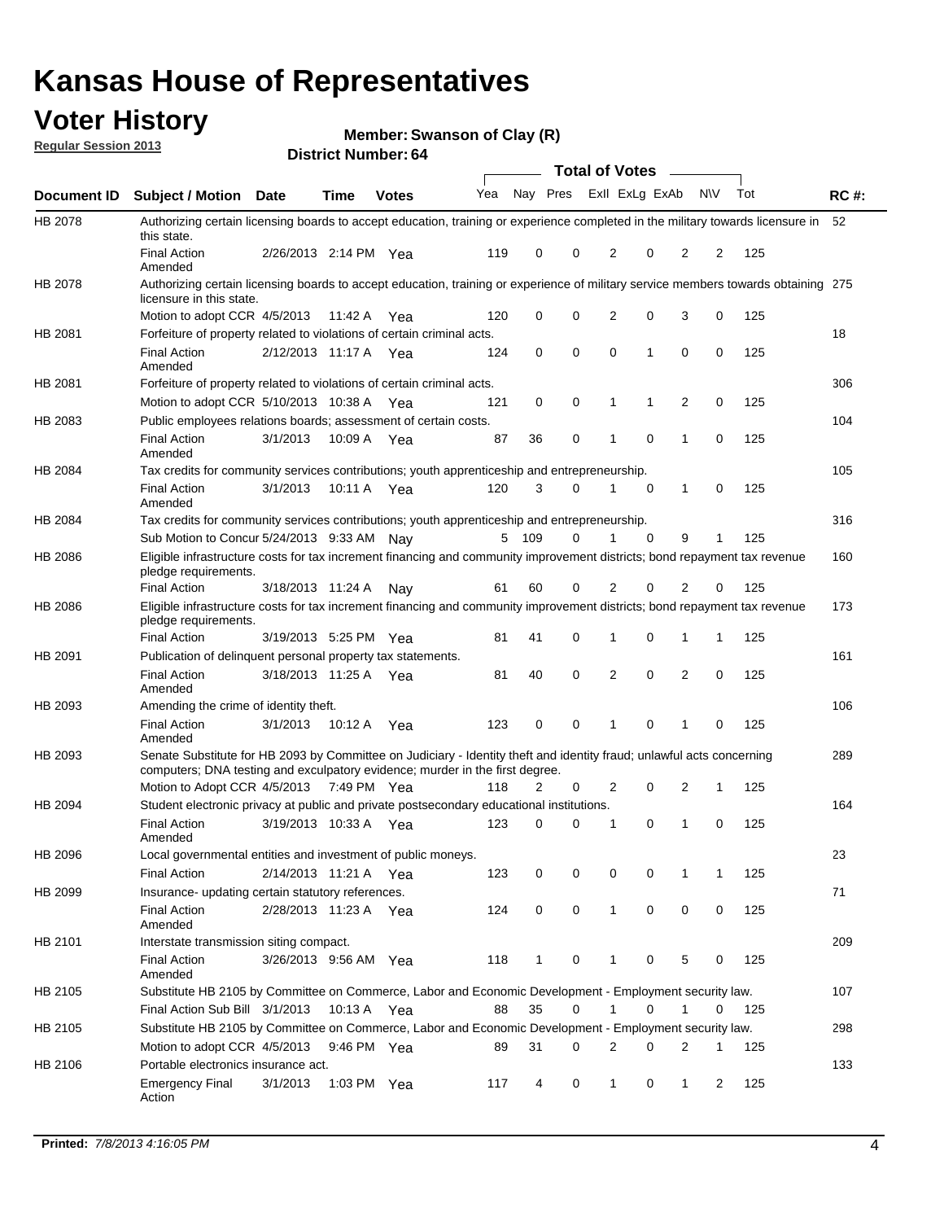## **Voter History**

**Member: Swanson of Clay (R)** 

**Regular Session 2013**

|                    |                                                                                                                                                                                                       |                       |             |              |     |          |   | Total of Votes |             |              |           |     |             |
|--------------------|-------------------------------------------------------------------------------------------------------------------------------------------------------------------------------------------------------|-----------------------|-------------|--------------|-----|----------|---|----------------|-------------|--------------|-----------|-----|-------------|
| <b>Document ID</b> | Subject / Motion Date                                                                                                                                                                                 |                       | <b>Time</b> | <b>Votes</b> | Yea | Nay Pres |   | Exll ExLg ExAb |             |              | <b>NV</b> | Tot | <b>RC#:</b> |
| HB 2078            | Authorizing certain licensing boards to accept education, training or experience completed in the military towards licensure in<br>this state.                                                        |                       |             |              |     |          |   |                |             |              |           |     | 52          |
|                    | <b>Final Action</b><br>Amended                                                                                                                                                                        | 2/26/2013 2:14 PM Yea |             |              | 119 | 0        | 0 | 2              | 0           | 2            | 2         | 125 |             |
| HB 2078            | Authorizing certain licensing boards to accept education, training or experience of military service members towards obtaining 275<br>licensure in this state.                                        |                       |             |              |     |          |   |                |             |              |           |     |             |
|                    | Motion to adopt CCR 4/5/2013                                                                                                                                                                          |                       | 11:42 A     | Yea          | 120 | 0        | 0 | 2              | 0           | 3            | 0         | 125 |             |
| HB 2081            | Forfeiture of property related to violations of certain criminal acts.                                                                                                                                |                       |             |              |     |          |   |                |             |              |           |     | 18          |
|                    | <b>Final Action</b><br>Amended                                                                                                                                                                        | 2/12/2013 11:17 A Yea |             |              | 124 | 0        | 0 | 0              | 1           | 0            | 0         | 125 |             |
| HB 2081            | Forfeiture of property related to violations of certain criminal acts.                                                                                                                                |                       |             |              |     |          |   |                |             |              |           |     | 306         |
|                    | Motion to adopt CCR 5/10/2013 10:38 A                                                                                                                                                                 |                       |             | Yea          | 121 | 0        | 0 | 1              | 1           | 2            | 0         | 125 |             |
| HB 2083            | Public employees relations boards; assessment of certain costs.                                                                                                                                       |                       |             |              |     |          |   |                |             |              |           |     | 104         |
|                    | <b>Final Action</b><br>Amended                                                                                                                                                                        | 3/1/2013              | 10:09 A     | Yea          | 87  | 36       | 0 | 1              | 0           | 1            | 0         | 125 |             |
| HB 2084            | Tax credits for community services contributions; youth apprenticeship and entrepreneurship.                                                                                                          |                       |             |              |     |          |   |                |             |              |           |     | 105         |
|                    | <b>Final Action</b><br>Amended                                                                                                                                                                        | 3/1/2013              | 10:11 A Yea |              | 120 | 3        | 0 | 1              | 0           | 1            | 0         | 125 |             |
| HB 2084            | Tax credits for community services contributions; youth apprenticeship and entrepreneurship.                                                                                                          |                       |             |              |     |          |   |                |             |              |           |     | 316         |
|                    | Sub Motion to Concur 5/24/2013 9:33 AM Nay                                                                                                                                                            |                       |             |              |     | 5 109    | 0 | 1              | $\mathbf 0$ | 9            | 1         | 125 |             |
| HB 2086            | Eligible infrastructure costs for tax increment financing and community improvement districts; bond repayment tax revenue<br>pledge requirements.                                                     |                       |             |              |     |          |   |                |             |              |           |     | 160         |
|                    | <b>Final Action</b>                                                                                                                                                                                   | 3/18/2013 11:24 A     |             | Nav          | 61  | 60       | 0 | 2              | 0           | 2            | 0         | 125 |             |
| HB 2086            | Eligible infrastructure costs for tax increment financing and community improvement districts; bond repayment tax revenue<br>pledge requirements.                                                     |                       |             |              |     |          |   |                |             |              |           |     | 173         |
|                    | <b>Final Action</b>                                                                                                                                                                                   | 3/19/2013 5:25 PM Yea |             |              | 81  | 41       | 0 | 1              | 0           | 1            | 1         | 125 |             |
| HB 2091            | Publication of delinquent personal property tax statements.                                                                                                                                           |                       |             |              |     |          |   |                |             |              |           |     | 161         |
|                    | <b>Final Action</b><br>Amended                                                                                                                                                                        | 3/18/2013 11:25 A     |             | Yea          | 81  | 40       | 0 | 2              | $\mathbf 0$ | 2            | 0         | 125 |             |
| HB 2093            | Amending the crime of identity theft.                                                                                                                                                                 |                       |             |              |     |          |   |                |             |              |           |     | 106         |
|                    | <b>Final Action</b><br>Amended                                                                                                                                                                        | 3/1/2013              | 10:12 A Yea |              | 123 | 0        | 0 | 1              | 0           | 1            | 0         | 125 |             |
| HB 2093            | Senate Substitute for HB 2093 by Committee on Judiciary - Identity theft and identity fraud; unlawful acts concerning<br>computers; DNA testing and exculpatory evidence; murder in the first degree. |                       |             |              |     |          |   |                |             |              |           |     | 289         |
|                    | Motion to Adopt CCR 4/5/2013 7:49 PM Yea                                                                                                                                                              |                       |             |              | 118 | 2        | 0 | 2              | 0           | 2            | 1         | 125 |             |
| HB 2094            | Student electronic privacy at public and private postsecondary educational institutions.                                                                                                              |                       |             |              |     |          |   |                |             |              |           |     | 164         |
|                    | <b>Final Action</b><br>Amended                                                                                                                                                                        | 3/19/2013 10:33 A     |             | Yea          | 123 | 0        | 0 | 1              | 0           | 1            | 0         | 125 |             |
| HB 2096            | Local governmental entities and investment of public moneys.                                                                                                                                          |                       |             |              |     |          |   |                |             |              |           |     | 23          |
|                    | <b>Final Action</b>                                                                                                                                                                                   | 2/14/2013 11:21 A Yea |             |              | 123 | 0        | 0 | 0              | 0           | 1            | 1         | 125 |             |
| HB 2099            | Insurance- updating certain statutory references.                                                                                                                                                     |                       |             |              |     |          |   |                |             |              |           |     | 71          |
|                    | <b>Final Action</b><br>Amended                                                                                                                                                                        | 2/28/2013 11:23 A Yea |             |              | 124 | 0        | 0 | $\mathbf{1}$   | 0           | 0            | 0         | 125 |             |
| HB 2101            | Interstate transmission siting compact.                                                                                                                                                               |                       |             |              |     |          |   |                |             |              |           |     | 209         |
|                    | Final Action<br>Amended                                                                                                                                                                               | 3/26/2013 9:56 AM Yea |             |              | 118 | 1        | 0 | 1              | 0           | 5            | 0         | 125 |             |
| HB 2105            | Substitute HB 2105 by Committee on Commerce, Labor and Economic Development - Employment security law.                                                                                                |                       |             |              |     |          |   |                |             |              |           |     | 107         |
|                    | Final Action Sub Bill 3/1/2013                                                                                                                                                                        |                       | 10:13 A Yea |              | 88  | 35       | 0 |                | 0           | 1            | 0         | 125 |             |
| HB 2105            | Substitute HB 2105 by Committee on Commerce, Labor and Economic Development - Employment security law.                                                                                                |                       |             |              |     |          |   |                |             |              |           |     | 298         |
|                    | Motion to adopt CCR 4/5/2013                                                                                                                                                                          |                       | 9:46 PM Yea |              | 89  | 31       | 0 | 2              | 0           | 2            | 1         | 125 |             |
| HB 2106            | Portable electronics insurance act.                                                                                                                                                                   |                       |             |              |     |          |   |                |             |              |           |     | 133         |
|                    | Emergency Final<br>Action                                                                                                                                                                             | 3/1/2013              | 1:03 PM Yea |              | 117 | 4        | 0 | $\mathbf{1}$   | 0           | $\mathbf{1}$ | 2         | 125 |             |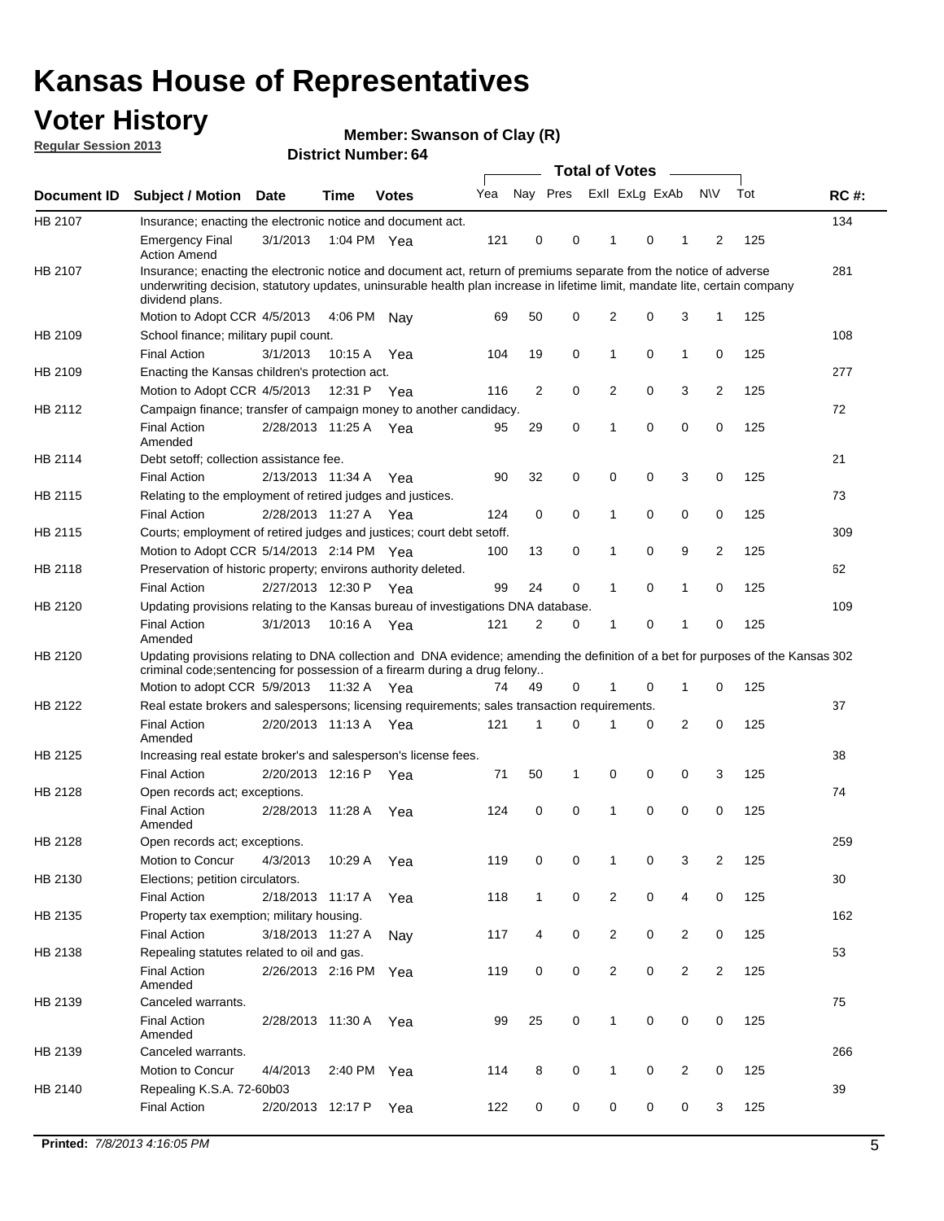## **Voter History**

**Member: Swanson of Clay (R)** 

**Regular Session 2013**

|                    |                                                                                                                                                                                                                                                                      |                       |             | PISUILLINUIIIDEL. 04 |     |              | Total of Votes - |                |          |                |                |     |             |
|--------------------|----------------------------------------------------------------------------------------------------------------------------------------------------------------------------------------------------------------------------------------------------------------------|-----------------------|-------------|----------------------|-----|--------------|------------------|----------------|----------|----------------|----------------|-----|-------------|
| <b>Document ID</b> | <b>Subject / Motion</b>                                                                                                                                                                                                                                              | <b>Date</b>           | <b>Time</b> | <b>Votes</b>         | Yea | Nay Pres     |                  | Exll ExLg ExAb |          |                | <b>NV</b>      | Tot | <b>RC#:</b> |
| HB 2107            | Insurance; enacting the electronic notice and document act.                                                                                                                                                                                                          |                       |             |                      |     |              |                  |                |          |                |                |     | 134         |
|                    | <b>Emergency Final</b><br><b>Action Amend</b>                                                                                                                                                                                                                        | 3/1/2013              |             | 1:04 PM Yea          | 121 | 0            | 0                | $\mathbf 1$    | 0        | 1              | 2              | 125 |             |
| HB 2107            | Insurance; enacting the electronic notice and document act, return of premiums separate from the notice of adverse<br>underwriting decision, statutory updates, uninsurable health plan increase in lifetime limit, mandate lite, certain company<br>dividend plans. |                       |             |                      |     |              |                  |                |          |                |                |     | 281         |
|                    | Motion to Adopt CCR 4/5/2013                                                                                                                                                                                                                                         |                       | 4:06 PM     | Nav                  | 69  | 50           | 0                | 2              | 0        | 3              | 1              | 125 |             |
| HB 2109            | School finance; military pupil count.                                                                                                                                                                                                                                |                       |             |                      |     |              |                  |                |          |                |                |     | 108         |
|                    | <b>Final Action</b>                                                                                                                                                                                                                                                  | 3/1/2013              | 10:15 A     | Yea                  | 104 | 19           | 0                | 1              | 0        | $\mathbf{1}$   | 0              | 125 |             |
| HB 2109            | Enacting the Kansas children's protection act.                                                                                                                                                                                                                       |                       |             |                      |     |              |                  |                |          |                |                |     | 277         |
|                    | Motion to Adopt CCR 4/5/2013                                                                                                                                                                                                                                         |                       |             | 12:31 P Yea          | 116 | 2            | 0                | 2              | 0        | 3              | $\overline{2}$ | 125 |             |
| HB 2112            | Campaign finance; transfer of campaign money to another candidacy.                                                                                                                                                                                                   |                       |             |                      |     |              |                  |                |          |                |                |     | 72          |
|                    | <b>Final Action</b><br>Amended                                                                                                                                                                                                                                       | 2/28/2013 11:25 A Yea |             |                      | 95  | 29           | 0                | 1              | 0        | 0              | 0              | 125 |             |
| HB 2114            | Debt setoff; collection assistance fee.                                                                                                                                                                                                                              |                       |             |                      |     |              |                  |                |          |                |                |     | 21          |
|                    | <b>Final Action</b>                                                                                                                                                                                                                                                  | 2/13/2013 11:34 A     |             | Yea                  | 90  | 32           | 0                | 0              | 0        | 3              | 0              | 125 |             |
| HB 2115            | Relating to the employment of retired judges and justices.                                                                                                                                                                                                           |                       |             |                      |     |              |                  |                |          |                |                |     | 73          |
|                    | <b>Final Action</b>                                                                                                                                                                                                                                                  | 2/28/2013 11:27 A     |             | Yea                  | 124 | 0            | 0                | 1              | 0        | 0              | 0              | 125 |             |
| HB 2115            | Courts; employment of retired judges and justices; court debt setoff.                                                                                                                                                                                                |                       |             |                      |     |              |                  |                |          |                |                |     | 309         |
|                    | Motion to Adopt CCR 5/14/2013 2:14 PM Yea                                                                                                                                                                                                                            |                       |             |                      | 100 | 13           | 0                | 1              | 0        | 9              | $\overline{2}$ | 125 |             |
| HB 2118            | Preservation of historic property; environs authority deleted.                                                                                                                                                                                                       |                       |             |                      |     |              |                  |                |          |                |                |     | 62          |
|                    | <b>Final Action</b>                                                                                                                                                                                                                                                  | 2/27/2013 12:30 P     |             | Yea                  | 99  | 24           | 0                | 1              | 0        | 1              | 0              | 125 |             |
| HB 2120            | Updating provisions relating to the Kansas bureau of investigations DNA database.                                                                                                                                                                                    |                       |             |                      |     |              |                  |                |          |                |                |     | 109         |
|                    | <b>Final Action</b><br>Amended                                                                                                                                                                                                                                       | 3/1/2013              |             | 10:16 A Yea          | 121 | 2            | 0                | 1              | 0        | 1              | 0              | 125 |             |
| HB 2120            | Updating provisions relating to DNA collection and DNA evidence; amending the definition of a bet for purposes of the Kansas 302<br>criminal code; sentencing for possession of a firearm during a drug felony<br>Motion to adopt CCR 5/9/2013 11:32 A Yea           |                       |             |                      | 74  | 49           | 0                |                | 0        | 1              | 0              | 125 |             |
| HB 2122            | Real estate brokers and salespersons; licensing requirements; sales transaction requirements.                                                                                                                                                                        |                       |             |                      |     |              |                  |                |          |                |                |     | 37          |
|                    | <b>Final Action</b><br>Amended                                                                                                                                                                                                                                       | 2/20/2013 11:13 A     |             | Yea                  | 121 | 1            | $\Omega$         |                | 0        | $\overline{2}$ | 0              | 125 |             |
| HB 2125            | Increasing real estate broker's and salesperson's license fees.                                                                                                                                                                                                      |                       |             |                      |     |              |                  |                |          |                |                |     | 38          |
|                    | <b>Final Action</b>                                                                                                                                                                                                                                                  | 2/20/2013 12:16 P     |             | Yea                  | 71  | 50           | 1                | 0              | 0        | 0              | 3              | 125 |             |
| HB 2128            | Open records act; exceptions.                                                                                                                                                                                                                                        |                       |             |                      |     |              |                  |                |          |                |                |     | 74          |
|                    | <b>Final Action</b><br>Amended                                                                                                                                                                                                                                       | 2/28/2013 11:28 A     |             | Yea                  | 124 | 0            | 0                | 1              | $\Omega$ | 0              | 0              | 125 |             |
| HB 2128            | Open records act; exceptions.                                                                                                                                                                                                                                        |                       |             |                      |     |              |                  |                |          |                |                |     | 259         |
|                    | Motion to Concur                                                                                                                                                                                                                                                     | 4/3/2013              | 10:29 A     | Yea                  | 119 | 0            | 0                |                | 0        | 3              | 2              | 125 |             |
| HB 2130            | Elections; petition circulators.                                                                                                                                                                                                                                     |                       |             |                      |     |              |                  |                |          |                |                |     | 30          |
|                    | <b>Final Action</b>                                                                                                                                                                                                                                                  | 2/18/2013 11:17 A     |             | Yea                  | 118 | $\mathbf{1}$ | 0                | 2              | 0        | 4              | 0              | 125 |             |
| HB 2135            | Property tax exemption; military housing.                                                                                                                                                                                                                            |                       |             |                      |     |              |                  |                |          |                |                |     | 162         |
|                    | <b>Final Action</b>                                                                                                                                                                                                                                                  | 3/18/2013 11:27 A     |             | Nay                  | 117 | 4            | 0                | 2              | 0        | $\overline{2}$ | 0              | 125 |             |
| HB 2138            | Repealing statutes related to oil and gas.                                                                                                                                                                                                                           |                       |             |                      |     |              |                  |                |          |                |                |     | 53          |
|                    | <b>Final Action</b><br>Amended                                                                                                                                                                                                                                       | 2/26/2013 2:16 PM Yea |             |                      | 119 | 0            | 0                | 2              | 0        | $\overline{2}$ | $\overline{2}$ | 125 |             |
| HB 2139            | Canceled warrants.                                                                                                                                                                                                                                                   |                       |             |                      |     |              |                  |                |          |                |                |     | 75          |
|                    | <b>Final Action</b><br>Amended                                                                                                                                                                                                                                       | 2/28/2013 11:30 A     |             | Yea                  | 99  | 25           | 0                | 1              | 0        | 0              | 0              | 125 |             |
| HB 2139            | Canceled warrants.                                                                                                                                                                                                                                                   |                       |             |                      |     |              |                  |                |          |                |                |     | 266         |
|                    | Motion to Concur                                                                                                                                                                                                                                                     | 4/4/2013              | 2:40 PM     | Yea                  | 114 | 8            | 0                | 1              | 0        | 2              | 0              | 125 |             |
| HB 2140            | Repealing K.S.A. 72-60b03                                                                                                                                                                                                                                            |                       |             |                      |     |              |                  |                |          |                |                |     | 39          |
|                    | <b>Final Action</b>                                                                                                                                                                                                                                                  | 2/20/2013 12:17 P     |             | Yea                  | 122 | 0            | 0                | 0              | 0        | 0              | 3              | 125 |             |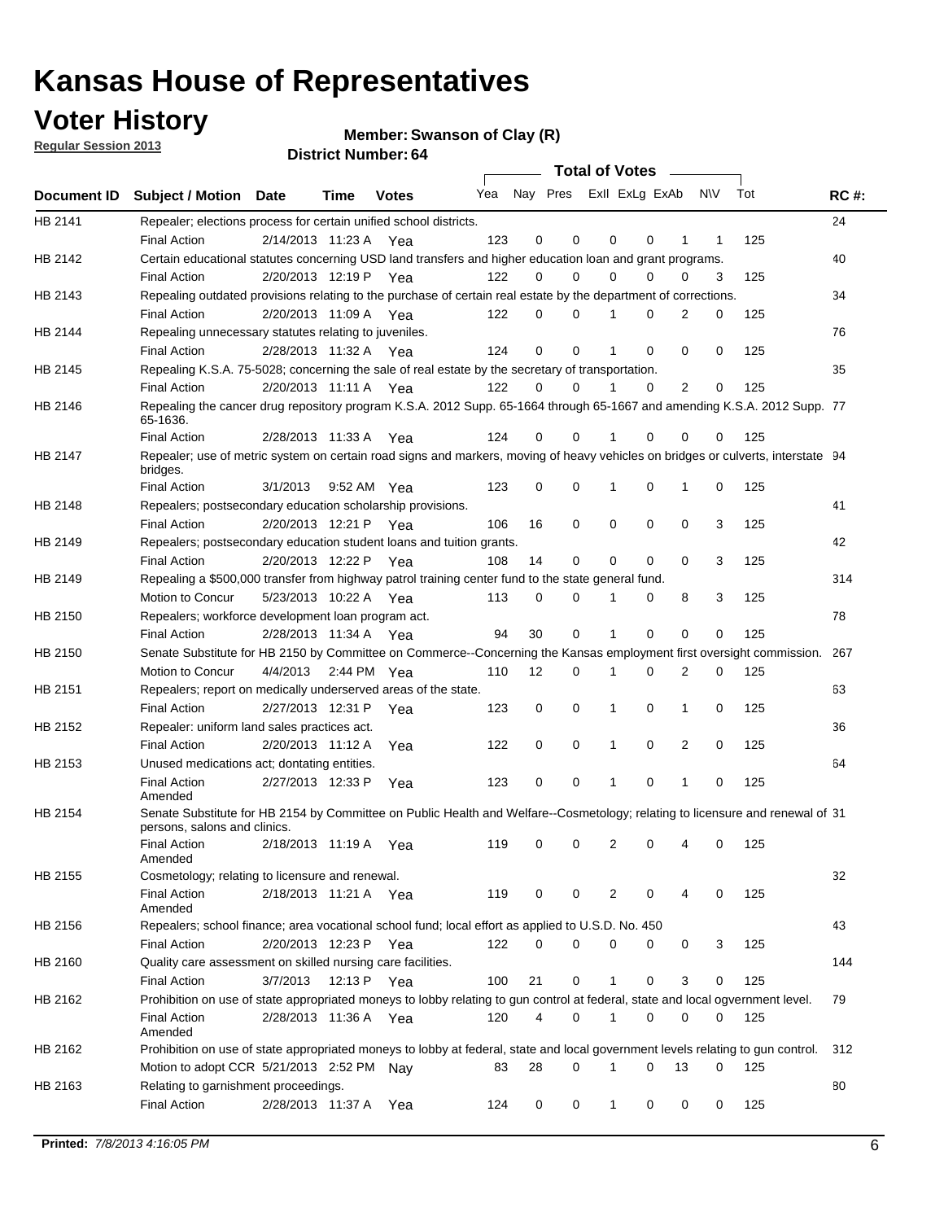**Voter History** 

**Member: Swanson of Clay (R)** 

**Regular Session 2013**

|             |                                                                                                                                                                  |                       |      |              |                             |                | <b>Total of Votes</b> |              |             |                |             |     |             |
|-------------|------------------------------------------------------------------------------------------------------------------------------------------------------------------|-----------------------|------|--------------|-----------------------------|----------------|-----------------------|--------------|-------------|----------------|-------------|-----|-------------|
| Document ID | <b>Subject / Motion Date</b>                                                                                                                                     |                       | Time | <b>Votes</b> | Yea Nay Pres ExII ExLg ExAb |                |                       |              |             |                | N\V         | Tot | <b>RC#:</b> |
| HB 2141     | Repealer; elections process for certain unified school districts.<br><b>Final Action</b>                                                                         | 2/14/2013 11:23 A Yea |      |              | 123                         | 0              | 0                     | 0            | 0           | 1              | 1           | 125 | 24          |
| HB 2142     | Certain educational statutes concerning USD land transfers and higher education loan and grant programs.<br><b>Final Action</b>                                  | 2/20/2013 12:19 P Yea |      |              | 122                         | 0              | $\Omega$              | $\Omega$     | $\Omega$    | 0              | 3           | 125 | 40          |
| HB 2143     | Repealing outdated provisions relating to the purchase of certain real estate by the department of corrections.                                                  |                       |      |              |                             |                |                       |              |             |                |             |     | 34          |
| HB 2144     | <b>Final Action</b><br>Repealing unnecessary statutes relating to juveniles.                                                                                     | 2/20/2013 11:09 A Yea |      |              | 122                         | 0              | 0                     | 1            | $\Omega$    | 2              | 0           | 125 | 76          |
| HB 2145     | <b>Final Action</b><br>Repealing K.S.A. 75-5028; concerning the sale of real estate by the secretary of transportation.                                          | 2/28/2013 11:32 A Yea |      |              | 124                         | 0              | $\mathbf 0$           | 1            | $\Omega$    | 0              | $\mathbf 0$ | 125 | 35          |
|             | <b>Final Action</b>                                                                                                                                              | 2/20/2013 11:11 A Yea |      |              | 122                         | 0              | $\Omega$              | 1            | $\Omega$    | $\overline{2}$ | 0           | 125 |             |
| HB 2146     | Repealing the cancer drug repository program K.S.A. 2012 Supp. 65-1664 through 65-1667 and amending K.S.A. 2012 Supp. 77<br>65-1636.                             |                       |      |              |                             |                |                       |              |             |                |             |     |             |
|             | <b>Final Action</b>                                                                                                                                              | 2/28/2013 11:33 A     |      | Yea          | 124                         | 0              | 0                     |              | 0           | 0              | 0           | 125 |             |
| HB 2147     | Repealer; use of metric system on certain road signs and markers, moving of heavy vehicles on bridges or culverts, interstate 94<br>bridges.                     |                       |      |              |                             |                |                       |              |             |                |             |     |             |
| HB 2148     | <b>Final Action</b><br>Repealers; postsecondary education scholarship provisions.                                                                                | 3/1/2013              |      | 9:52 AM Yea  | 123                         | 0              | 0                     | 1            | 0           | 1              | 0           | 125 | 41          |
|             | <b>Final Action</b>                                                                                                                                              | 2/20/2013 12:21 P     |      | Yea          | 106                         | 16             | $\mathbf 0$           | 0            | 0           | 0              | 3           | 125 |             |
| HB 2149     | Repealers; postsecondary education student loans and tuition grants.                                                                                             | 2/20/2013 12:22 P     |      |              |                             | 14             | 0                     | 0            | 0           | 0              | 3           |     | 42          |
| HB 2149     | <b>Final Action</b>                                                                                                                                              |                       |      | Yea          | 108                         |                |                       |              |             |                |             | 125 | 314         |
|             | Repealing a \$500,000 transfer from highway patrol training center fund to the state general fund.<br>Motion to Concur                                           | 5/23/2013 10:22 A Yea |      |              | 113                         | 0              | 0                     | 1            | 0           | 8              | 3           | 125 |             |
| HB 2150     | Repealers; workforce development loan program act.                                                                                                               |                       |      |              |                             |                |                       |              |             |                |             |     | 78          |
|             | <b>Final Action</b>                                                                                                                                              | 2/28/2013 11:34 A Yea |      |              | 94                          | 30             | $\mathbf 0$           | $\mathbf{1}$ | $\mathbf 0$ | 0              | 0           | 125 |             |
| HB 2150     | Senate Substitute for HB 2150 by Committee on Commerce--Concerning the Kansas employment first oversight commission.                                             |                       |      |              |                             |                |                       |              |             |                |             |     | 267         |
|             | Motion to Concur                                                                                                                                                 | 4/4/2013 2:44 PM Yea  |      |              | 110                         | 12             | 0                     | 1            | 0           | 2              | 0           | 125 |             |
| HB 2151     | Repealers; report on medically underserved areas of the state.<br><b>Final Action</b>                                                                            | 2/27/2013 12:31 P     |      |              |                             | 0              | $\mathbf 0$           | 1            | 0           | 1              | 0           | 125 | 63          |
| HB 2152     |                                                                                                                                                                  |                       |      | Yea          | 123                         |                |                       |              |             |                |             |     | 36          |
|             | Repealer: uniform land sales practices act.<br><b>Final Action</b>                                                                                               | 2/20/2013 11:12 A     |      |              | 122                         | 0              | 0                     | 1            | 0           | $\overline{2}$ | 0           | 125 |             |
| HB 2153     | Unused medications act; dontating entities.                                                                                                                      |                       |      | Yea          |                             |                |                       |              |             |                |             |     | 64          |
|             | <b>Final Action</b><br>Amended                                                                                                                                   | 2/27/2013 12:33 P     |      | Yea          | 123                         | 0              | 0                     | 1            | 0           | 1              | 0           | 125 |             |
| HB 2154     | Senate Substitute for HB 2154 by Committee on Public Health and Welfare--Cosmetology; relating to licensure and renewal of 31<br>persons, salons and clinics.    |                       |      |              |                             |                |                       |              |             |                |             |     |             |
|             | <b>Final Action</b><br>Amended                                                                                                                                   | 2/18/2013 11:19 A     |      | Yea          | 119                         | 0              | 0                     | 2            | 0           |                | 0           | 125 |             |
| HB 2155     | Cosmetology; relating to licensure and renewal.                                                                                                                  |                       |      |              |                             |                |                       |              |             |                |             |     | 32          |
|             | <b>Final Action</b><br>Amended                                                                                                                                   | 2/18/2013 11:21 A Yea |      |              | 119                         | 0              | 0                     | 2            | 0           | 4              | 0           | 125 |             |
| HB 2156     | Repealers; school finance; area vocational school fund; local effort as applied to U.S.D. No. 450                                                                |                       |      |              |                             |                |                       |              |             |                |             |     | 43          |
|             | <b>Final Action</b>                                                                                                                                              | 2/20/2013 12:23 P     |      | Yea          | 122                         | 0              | 0                     | 0            | 0           | 0              | 3           | 125 |             |
| HB 2160     | Quality care assessment on skilled nursing care facilities.                                                                                                      |                       |      |              |                             |                |                       |              |             |                |             |     | 144         |
|             | <b>Final Action</b>                                                                                                                                              | 3/7/2013              |      | 12:13 P Yea  | 100                         | 21             | 0                     | 1            | 0           | 3              | 0           | 125 |             |
| HB 2162     | Prohibition on use of state appropriated moneys to lobby relating to gun control at federal, state and local ogvernment level.<br><b>Final Action</b><br>Amended | 2/28/2013 11:36 A Yea |      |              | 120                         | $\overline{4}$ | 0                     | 1            | 0           | 0              | 0           | 125 | 79          |
| HB 2162     | Prohibition on use of state appropriated moneys to lobby at federal, state and local government levels relating to gun control.                                  |                       |      |              |                             |                |                       |              |             |                |             |     | 312         |
|             | Motion to adopt CCR 5/21/2013 2:52 PM Nay                                                                                                                        |                       |      |              | 83                          | 28             | 0                     | 1            | 0           | 13             | 0           | 125 |             |
| HB 2163     | Relating to garnishment proceedings.<br><b>Final Action</b>                                                                                                      | 2/28/2013 11:37 A Yea |      |              | 124                         | 0              | 0                     | 1            | 0           | 0              | 0           | 125 | 80          |
|             |                                                                                                                                                                  |                       |      |              |                             |                |                       |              |             |                |             |     |             |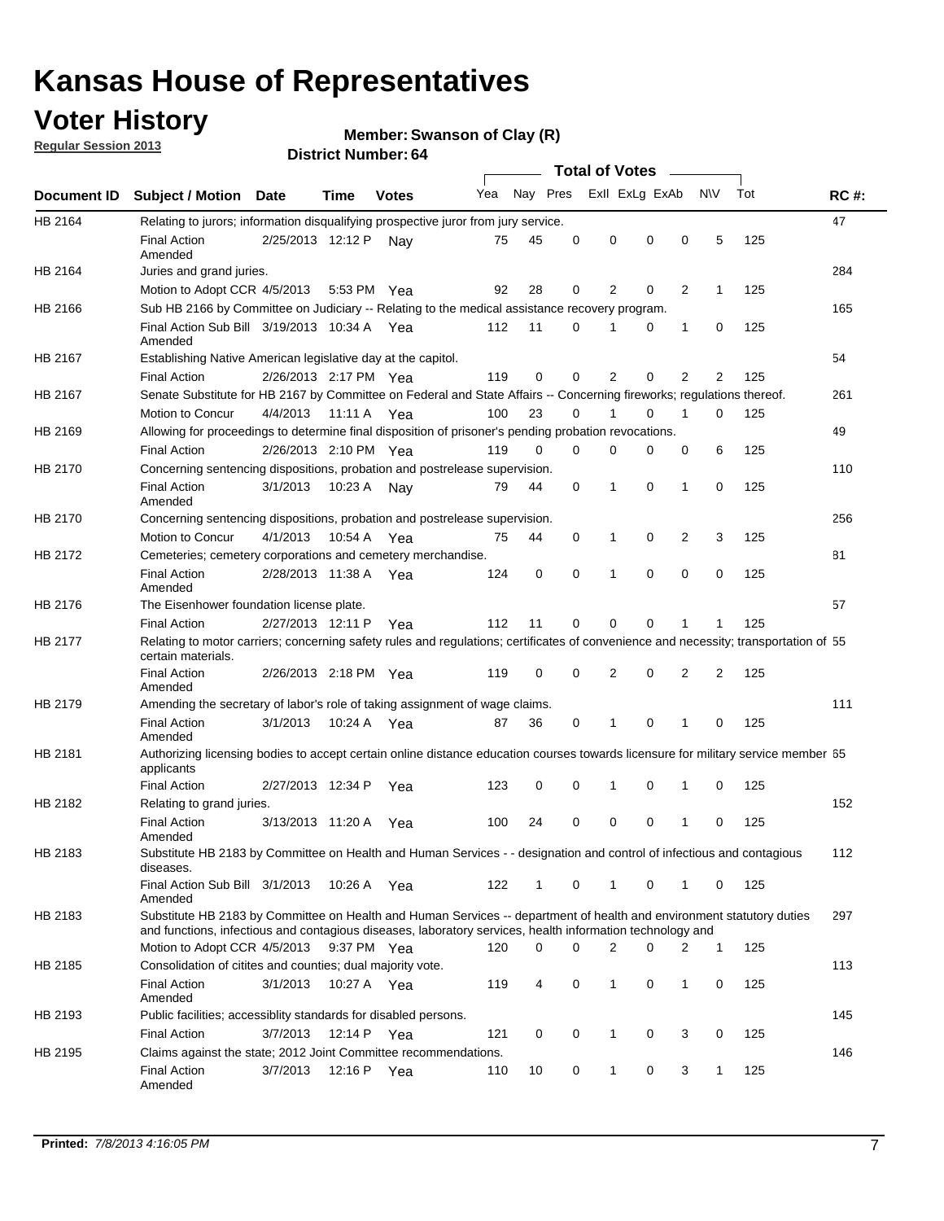## **Voter History**

**Member: Swanson of Clay (R)** 

**Regular Session 2013**

|             |                                                                                                                                                                                                                                    |                       |             | PISUILLINUIIIDEL. 04 |     |              |          |                  |          |                |              |     |             |
|-------------|------------------------------------------------------------------------------------------------------------------------------------------------------------------------------------------------------------------------------------|-----------------------|-------------|----------------------|-----|--------------|----------|------------------|----------|----------------|--------------|-----|-------------|
|             |                                                                                                                                                                                                                                    |                       |             |                      |     |              |          | Total of Votes – |          |                |              |     |             |
| Document ID | <b>Subject / Motion</b>                                                                                                                                                                                                            | <b>Date</b>           | Time        | <b>Votes</b>         | Yea | Nay Pres     |          | Exll ExLg ExAb   |          |                | <b>NV</b>    | Tot | <b>RC#:</b> |
| HB 2164     | Relating to jurors; information disqualifying prospective juror from jury service.                                                                                                                                                 |                       |             |                      |     |              |          |                  |          |                |              |     | 47          |
|             | <b>Final Action</b><br>Amended                                                                                                                                                                                                     | 2/25/2013 12:12 P     |             | Nav                  | 75  | 45           | 0        | 0                | 0        | 0              | 5            | 125 |             |
| HB 2164     | Juries and grand juries.                                                                                                                                                                                                           |                       |             |                      |     |              |          |                  |          |                |              |     | 284         |
|             | Motion to Adopt CCR 4/5/2013                                                                                                                                                                                                       |                       |             | 5:53 PM Yea          | 92  | 28           | 0        | 2                | 0        | 2              | 1            | 125 |             |
| HB 2166     | Sub HB 2166 by Committee on Judiciary -- Relating to the medical assistance recovery program.                                                                                                                                      |                       |             |                      |     |              |          |                  |          |                |              |     | 165         |
|             | Final Action Sub Bill 3/19/2013 10:34 A Yea                                                                                                                                                                                        |                       |             |                      | 112 | 11           | 0        | 1                | 0        | 1              | 0            | 125 |             |
|             | Amended                                                                                                                                                                                                                            |                       |             |                      |     |              |          |                  |          |                |              |     | 54          |
| HB 2167     | Establishing Native American legislative day at the capitol.                                                                                                                                                                       |                       |             |                      | 119 | 0            | $\Omega$ | 2                | 0        | 2              |              | 125 |             |
|             | <b>Final Action</b>                                                                                                                                                                                                                | 2/26/2013 2:17 PM Yea |             |                      |     |              |          |                  |          |                | 2            |     |             |
| HB 2167     | Senate Substitute for HB 2167 by Committee on Federal and State Affairs -- Concerning fireworks; regulations thereof.                                                                                                              |                       |             |                      |     |              |          |                  |          |                |              |     | 261         |
|             | Motion to Concur                                                                                                                                                                                                                   | 4/4/2013              | 11:11 A Yea |                      | 100 | 23           | $\Omega$ | 1                | 0        | $\mathbf{1}$   | 0            | 125 |             |
| HB 2169     | Allowing for proceedings to determine final disposition of prisoner's pending probation revocations.                                                                                                                               |                       |             |                      |     |              |          |                  |          |                |              |     | 49          |
|             | <b>Final Action</b>                                                                                                                                                                                                                | 2/26/2013 2:10 PM Yea |             |                      | 119 | 0            | $\Omega$ | 0                | 0        | 0              | 6            | 125 |             |
| HB 2170     | Concerning sentencing dispositions, probation and postrelease supervision.                                                                                                                                                         |                       |             |                      |     |              |          |                  |          |                |              |     | 110         |
|             | <b>Final Action</b><br>Amended                                                                                                                                                                                                     | 3/1/2013              | 10:23 A     | Nav                  | 79  | 44           | 0        | 1                | 0        | 1              | 0            | 125 |             |
| HB 2170     | Concerning sentencing dispositions, probation and postrelease supervision.                                                                                                                                                         |                       |             |                      |     |              |          |                  |          |                |              |     | 256         |
|             | Motion to Concur                                                                                                                                                                                                                   | 4/1/2013              | 10.54 A     | Yea                  | 75  | 44           | 0        | 1                | 0        | $\overline{2}$ | 3            | 125 |             |
| HB 2172     | Cemeteries; cemetery corporations and cemetery merchandise.                                                                                                                                                                        |                       |             |                      |     |              |          |                  |          |                |              |     | 81          |
|             | <b>Final Action</b><br>Amended                                                                                                                                                                                                     | 2/28/2013 11:38 A Yea |             |                      | 124 | 0            | $\Omega$ | 1                | $\Omega$ | $\Omega$       | 0            | 125 |             |
| HB 2176     | The Eisenhower foundation license plate.                                                                                                                                                                                           |                       |             |                      |     |              |          |                  |          |                |              |     | 57          |
|             | <b>Final Action</b>                                                                                                                                                                                                                | 2/27/2013 12:11 P     |             | Yea                  | 112 | 11           | 0        | 0                | 0        | 1              | 1            | 125 |             |
| HB 2177     | Relating to motor carriers; concerning safety rules and regulations; certificates of convenience and necessity; transportation of 55<br>certain materials.                                                                         |                       |             |                      |     |              |          |                  |          |                |              |     |             |
|             | <b>Final Action</b><br>Amended                                                                                                                                                                                                     | 2/26/2013 2:18 PM Yea |             |                      | 119 | 0            | $\Omega$ | $\overline{2}$   | 0        | $\overline{2}$ | 2            | 125 |             |
| HB 2179     | Amending the secretary of labor's role of taking assignment of wage claims.                                                                                                                                                        |                       |             |                      |     |              |          |                  |          |                |              |     | 111         |
|             | <b>Final Action</b><br>Amended                                                                                                                                                                                                     | 3/1/2013              |             | 10:24 A Yea          | 87  | 36           | 0        | 1                | 0        | 1              | 0            | 125 |             |
| HB 2181     | Authorizing licensing bodies to accept certain online distance education courses towards licensure for military service member 55<br>applicants                                                                                    |                       |             |                      |     |              |          |                  |          |                |              |     |             |
|             | <b>Final Action</b>                                                                                                                                                                                                                | 2/27/2013 12:34 P     |             | Yea                  | 123 | 0            | 0        | 1                | 0        | 1              | 0            | 125 |             |
| HB 2182     | Relating to grand juries.                                                                                                                                                                                                          |                       |             |                      |     |              |          |                  |          |                |              |     | 152         |
|             | <b>Final Action</b><br>Amended                                                                                                                                                                                                     | 3/13/2013 11:20 A     |             | Yea                  | 100 | 24           | 0        | 0                | 0        | 1              | 0            | 125 |             |
| HB 2183     | Substitute HB 2183 by Committee on Health and Human Services - - designation and control of infectious and contagious<br>diseases.                                                                                                 |                       |             |                      |     |              |          |                  |          |                |              |     | 112         |
|             | Final Action Sub Bill 3/1/2013<br>Amended                                                                                                                                                                                          |                       |             | 10:26 A Yea          | 122 | $\mathbf{1}$ | 0        | $\mathbf{1}$     | 0        | $\mathbf 1$    | 0            | 125 |             |
| HB 2183     | Substitute HB 2183 by Committee on Health and Human Services -- department of health and environment statutory duties<br>and functions, infectious and contagious diseases, laboratory services, health information technology and |                       |             |                      |     |              |          |                  |          |                |              |     | 297         |
|             | Motion to Adopt CCR 4/5/2013                                                                                                                                                                                                       |                       |             | 9:37 PM Yea          | 120 | 0            | 0        | 2                | 0        | 2              | $\mathbf{1}$ | 125 |             |
| HB 2185     | Consolidation of citites and counties; dual majority vote.                                                                                                                                                                         |                       |             |                      |     |              |          |                  |          |                |              |     | 113         |
|             | <b>Final Action</b><br>Amended                                                                                                                                                                                                     | 3/1/2013              |             | 10:27 A Yea          | 119 | 4            | 0        | $\mathbf{1}$     | 0        | 1              | 0            | 125 |             |
| HB 2193     | Public facilities; accessiblity standards for disabled persons.                                                                                                                                                                    |                       |             |                      |     |              |          |                  |          |                |              |     | 145         |
|             | <b>Final Action</b>                                                                                                                                                                                                                | 3/7/2013              |             | 12:14 P Yea          | 121 | 0            | 0        | 1                | 0        | 3              | 0            | 125 |             |
| HB 2195     | Claims against the state; 2012 Joint Committee recommendations.                                                                                                                                                                    |                       |             |                      |     |              |          |                  |          |                |              |     | 146         |
|             | <b>Final Action</b><br>Amended                                                                                                                                                                                                     | 3/7/2013              |             | 12:16 P Yea          | 110 | 10           | 0        | 1                | 0        | 3              | 1            | 125 |             |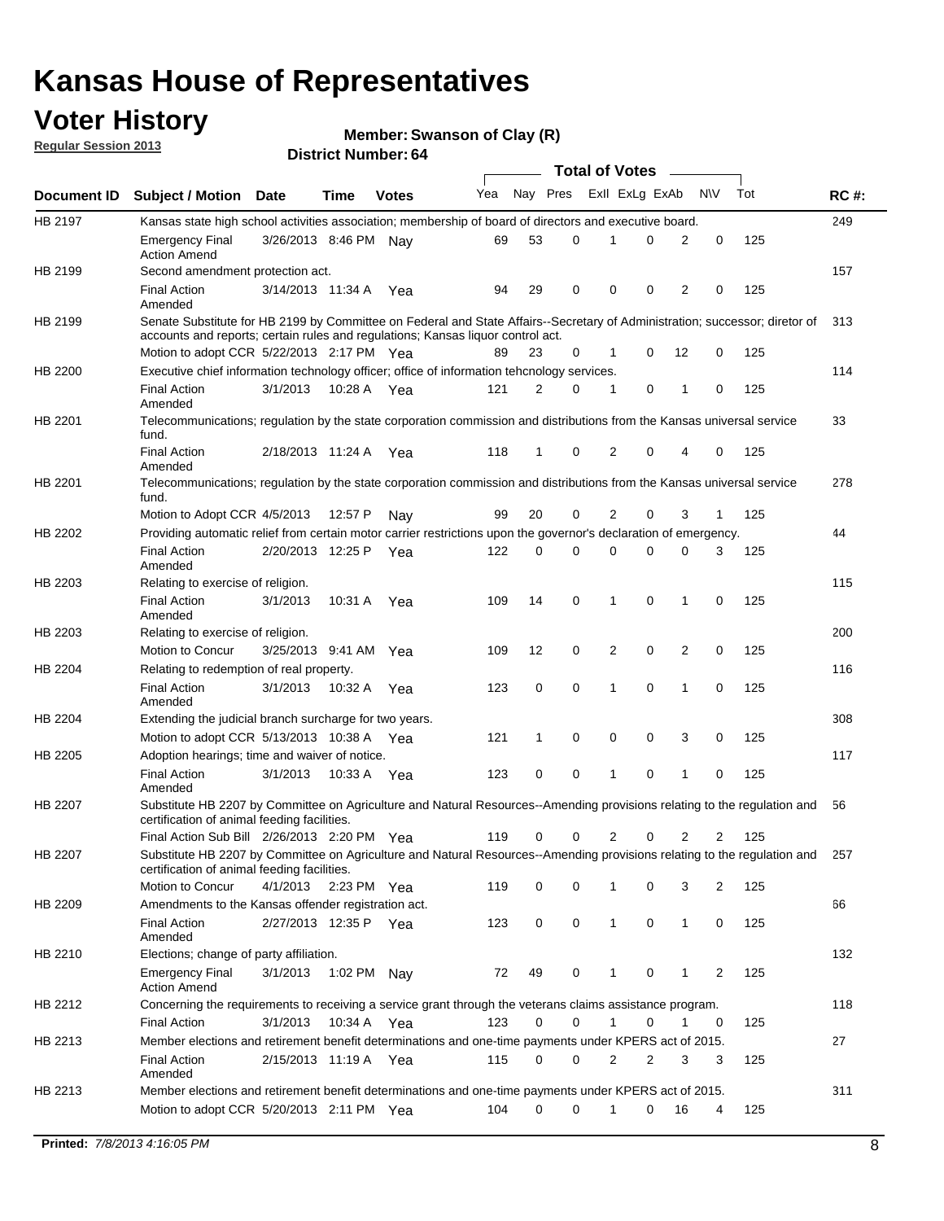## **Voter History**

**Member: Swanson of Clay (R)** 

**Regular Session 2013**

|             |                                                                                                                                                                             |                       |             |              |     |             |   | <b>Total of Votes</b> |   |                |              |     |             |
|-------------|-----------------------------------------------------------------------------------------------------------------------------------------------------------------------------|-----------------------|-------------|--------------|-----|-------------|---|-----------------------|---|----------------|--------------|-----|-------------|
| Document ID | <b>Subject / Motion Date</b>                                                                                                                                                |                       | Time        | <b>Votes</b> | Yea | Nay Pres    |   | Exll ExLg ExAb        |   |                | <b>NV</b>    | Tot | <b>RC#:</b> |
| HB 2197     | Kansas state high school activities association; membership of board of directors and executive board.                                                                      |                       |             |              |     |             |   |                       |   |                |              |     | 249         |
|             | <b>Emergency Final</b><br><b>Action Amend</b>                                                                                                                               | 3/26/2013 8:46 PM Nay |             |              | 69  | 53          | 0 |                       | 0 | 2              | 0            | 125 |             |
| HB 2199     | Second amendment protection act.                                                                                                                                            |                       |             |              |     |             |   |                       |   |                |              |     | 157         |
|             | <b>Final Action</b><br>Amended                                                                                                                                              | 3/14/2013 11:34 A     |             | Yea          | 94  | 29          | 0 | 0                     | 0 | 2              | 0            | 125 |             |
| HB 2199     | Senate Substitute for HB 2199 by Committee on Federal and State Affairs--Secretary of Administration; successor; diretor of                                                 |                       |             |              |     |             |   |                       |   |                |              |     | 313         |
|             | accounts and reports; certain rules and regulations; Kansas liquor control act.                                                                                             |                       |             |              |     |             |   |                       |   |                |              |     |             |
|             | Motion to adopt CCR 5/22/2013 2:17 PM Yea                                                                                                                                   |                       |             |              | 89  | 23          | 0 | 1                     | 0 | 12             | 0            | 125 |             |
| HB 2200     | Executive chief information technology officer; office of information tehcnology services.                                                                                  |                       |             |              |     |             |   |                       |   |                |              |     | 114         |
|             | <b>Final Action</b><br>Amended                                                                                                                                              | 3/1/2013              | 10:28 A     | Yea          | 121 | 2           | 0 | 1                     | 0 | 1              | 0            | 125 |             |
| HB 2201     | Telecommunications; regulation by the state corporation commission and distributions from the Kansas universal service<br>fund.                                             |                       |             |              |     |             |   |                       |   |                |              |     | 33          |
|             | <b>Final Action</b><br>Amended                                                                                                                                              | 2/18/2013 11:24 A     |             | Yea          | 118 | 1           | 0 | 2                     | 0 | 4              | 0            | 125 |             |
| HB 2201     | Telecommunications; regulation by the state corporation commission and distributions from the Kansas universal service<br>fund.                                             |                       |             |              |     |             |   |                       |   |                |              |     | 278         |
|             | Motion to Adopt CCR 4/5/2013                                                                                                                                                |                       | 12:57 P     | Nav          | 99  | 20          | 0 | 2                     | 0 | 3              | $\mathbf{1}$ | 125 |             |
| HB 2202     | Providing automatic relief from certain motor carrier restrictions upon the governor's declaration of emergency.                                                            |                       |             |              |     |             |   |                       |   |                |              |     | 44          |
|             | <b>Final Action</b><br>Amended                                                                                                                                              | 2/20/2013 12:25 P     |             | Yea          | 122 | 0           | 0 | 0                     | 0 | 0              | 3            | 125 |             |
| HB 2203     | Relating to exercise of religion.                                                                                                                                           |                       |             |              |     |             |   |                       |   |                |              |     | 115         |
|             | <b>Final Action</b><br>Amended                                                                                                                                              | 3/1/2013              | 10:31 A     | Yea          | 109 | 14          | 0 | 1                     | 0 | 1              | 0            | 125 |             |
| HB 2203     | Relating to exercise of religion.                                                                                                                                           |                       |             |              |     |             |   |                       |   |                |              |     | 200         |
|             | Motion to Concur                                                                                                                                                            | 3/25/2013 9:41 AM     |             | Yea          | 109 | 12          | 0 | 2                     | 0 | 2              | 0            | 125 |             |
| HB 2204     | Relating to redemption of real property.                                                                                                                                    |                       |             |              |     |             |   |                       |   |                |              |     | 116         |
|             | <b>Final Action</b><br>Amended                                                                                                                                              | 3/1/2013              | 10:32 A     | Yea          | 123 | $\mathbf 0$ | 0 | 1                     | 0 | $\mathbf{1}$   | 0            | 125 |             |
| HB 2204     | Extending the judicial branch surcharge for two years.                                                                                                                      |                       |             |              |     |             |   |                       |   |                |              |     | 308         |
|             | Motion to adopt CCR 5/13/2013 10:38 A Yea                                                                                                                                   |                       |             |              | 121 | 1           | 0 | 0                     | 0 | 3              | 0            | 125 |             |
| HB 2205     | Adoption hearings; time and waiver of notice.                                                                                                                               |                       |             |              |     |             |   |                       |   |                |              |     | 117         |
|             | <b>Final Action</b><br>Amended                                                                                                                                              | 3/1/2013              | 10:33 A Yea |              | 123 | 0           | 0 | 1                     | 0 | 1              | 0            | 125 |             |
| HB 2207     | Substitute HB 2207 by Committee on Agriculture and Natural Resources--Amending provisions relating to the regulation and<br>certification of animal feeding facilities.     |                       |             |              |     |             |   |                       |   |                |              |     | 56          |
|             | Final Action Sub Bill 2/26/2013 2:20 PM Yea                                                                                                                                 |                       |             |              | 119 | 0           | 0 | 2                     | 0 | $\overline{2}$ | 2            | 125 |             |
| HB 2207     | Substitute HB 2207 by Committee on Agriculture and Natural Resources--Amending provisions relating to the regulation and 257<br>certification of animal feeding facilities. |                       |             |              |     |             |   |                       |   |                |              |     |             |
|             | Motion to Concur                                                                                                                                                            | 4/1/2013              | 2:23 PM Yea |              | 119 | 0           | 0 | 1                     | 0 | 3              | 2            | 125 |             |
| HB 2209     | Amendments to the Kansas offender registration act.                                                                                                                         |                       |             |              |     |             |   |                       |   |                |              |     | 66          |
|             | <b>Final Action</b><br>Amended                                                                                                                                              | 2/27/2013 12:35 P Yea |             |              | 123 | 0           | 0 | $\mathbf{1}$          | 0 | $\mathbf{1}$   | 0            | 125 |             |
| HB 2210     | Elections; change of party affiliation.                                                                                                                                     |                       |             |              |     |             |   |                       |   |                |              |     | 132         |
|             | <b>Emergency Final</b><br><b>Action Amend</b>                                                                                                                               | 3/1/2013              | 1:02 PM Nay |              | 72  | 49          | 0 |                       | 0 | 1              | 2            | 125 |             |
| HB 2212     | Concerning the requirements to receiving a service grant through the veterans claims assistance program.                                                                    |                       |             |              |     |             |   |                       |   |                |              |     | 118         |
|             | <b>Final Action</b>                                                                                                                                                         | 3/1/2013              | 10:34 A Yea |              | 123 | 0           | 0 | $\mathbf{1}$          | 0 | 1              | 0            | 125 |             |
| HB 2213     | Member elections and retirement benefit determinations and one-time payments under KPERS act of 2015.                                                                       |                       |             |              |     |             |   |                       |   |                |              |     | 27          |
|             | <b>Final Action</b><br>Amended                                                                                                                                              | 2/15/2013 11:19 A Yea |             |              | 115 | 0           | 0 | 2                     | 2 | 3              | 3            | 125 |             |
| HB 2213     | Member elections and retirement benefit determinations and one-time payments under KPERS act of 2015.                                                                       |                       |             |              |     |             |   |                       |   |                |              |     | 311         |
|             | Motion to adopt CCR 5/20/2013 2:11 PM Yea                                                                                                                                   |                       |             |              | 104 | $\Omega$    | 0 | 1                     | 0 | 16             | 4            | 125 |             |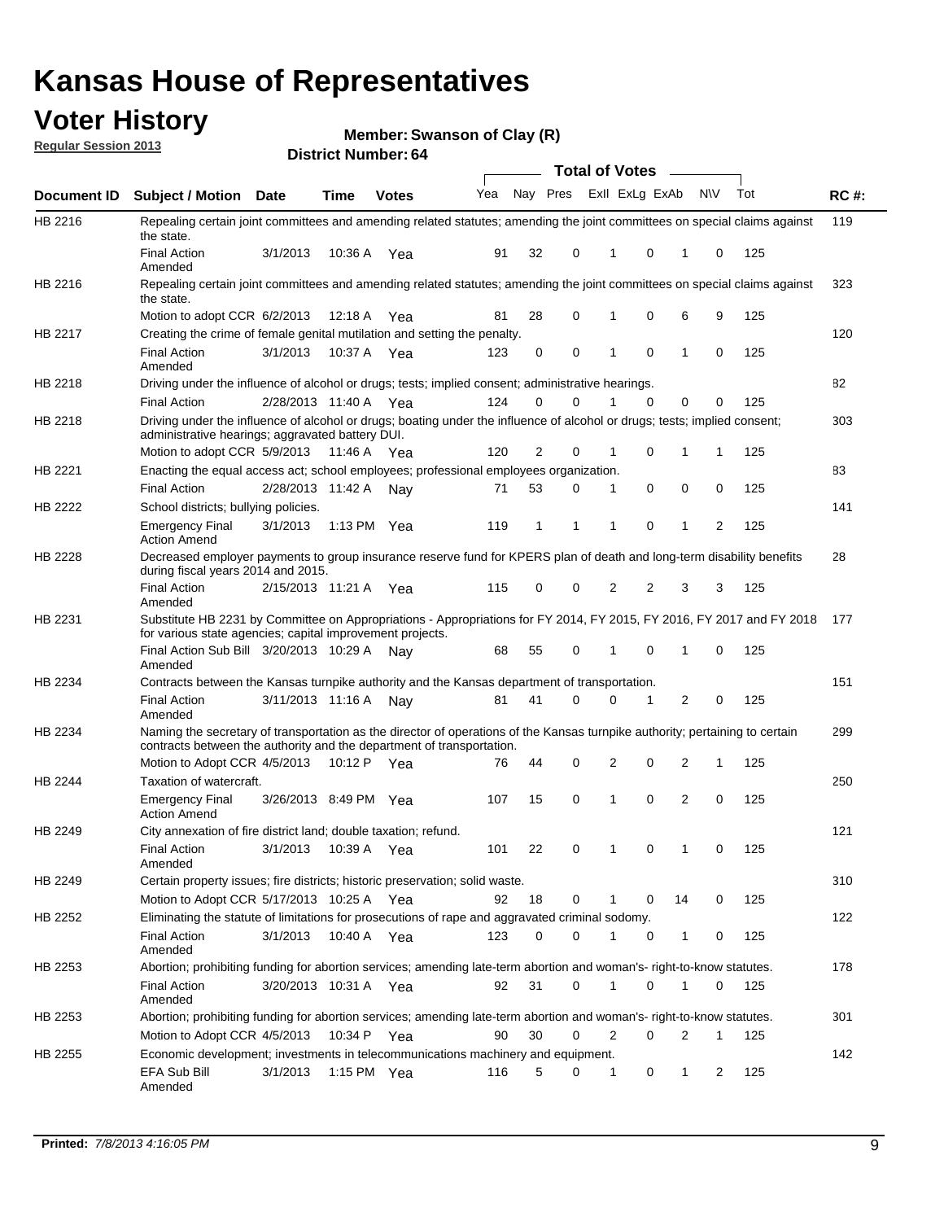## **Voter History**

**Member: Swanson of Clay (R)** 

**Regular Session 2013**

|                |                                                                                                                                                                                                               |                       |               |              |     |          |          | <b>Total of Votes</b> |          | $\overline{\phantom{a}}$ |           |     |             |
|----------------|---------------------------------------------------------------------------------------------------------------------------------------------------------------------------------------------------------------|-----------------------|---------------|--------------|-----|----------|----------|-----------------------|----------|--------------------------|-----------|-----|-------------|
| Document ID    | Subject / Motion Date                                                                                                                                                                                         |                       | <b>Time</b>   | <b>Votes</b> | Yea | Nay Pres |          | Exll ExLg ExAb        |          |                          | <b>NV</b> | Tot | <b>RC#:</b> |
| HB 2216        | Repealing certain joint committees and amending related statutes; amending the joint committees on special claims against<br>the state.                                                                       |                       |               |              |     |          |          |                       |          |                          |           |     | 119         |
|                | <b>Final Action</b><br>Amended                                                                                                                                                                                | 3/1/2013              | 10:36 A       | Yea          | 91  | 32       | 0        | 1                     | 0        | 1                        | 0         | 125 |             |
| HB 2216        | Repealing certain joint committees and amending related statutes; amending the joint committees on special claims against<br>the state.                                                                       |                       |               |              |     |          |          |                       |          |                          |           |     | 323         |
|                | Motion to adopt CCR 6/2/2013                                                                                                                                                                                  |                       | 12:18 A       | Yea          | 81  | 28       | 0        | 1                     | 0        | 6                        | 9         | 125 |             |
| HB 2217        | Creating the crime of female genital mutilation and setting the penalty.                                                                                                                                      |                       |               |              |     |          |          |                       |          |                          |           |     | 120         |
|                | <b>Final Action</b><br>Amended                                                                                                                                                                                | 3/1/2013              | 10:37 A Yea   |              | 123 | 0        | 0        | 1                     | 0        | 1                        | 0         | 125 |             |
| HB 2218        | Driving under the influence of alcohol or drugs; tests; implied consent; administrative hearings.                                                                                                             |                       |               |              |     |          |          |                       |          |                          |           |     | 82          |
|                | <b>Final Action</b>                                                                                                                                                                                           | 2/28/2013 11:40 A Yea |               |              | 124 | 0        | $\Omega$ |                       | $\Omega$ | 0                        | 0         | 125 |             |
| HB 2218        | Driving under the influence of alcohol or drugs; boating under the influence of alcohol or drugs; tests; implied consent;<br>administrative hearings; aggravated battery DUI.<br>Motion to adopt CCR 5/9/2013 |                       | 11:46 A Yea   |              | 120 | 2        | 0        | 1                     | 0        | 1                        | 1         | 125 | 303         |
| HB 2221        | Enacting the equal access act; school employees; professional employees organization.                                                                                                                         |                       |               |              |     |          |          |                       |          |                          |           |     | 83          |
|                | <b>Final Action</b>                                                                                                                                                                                           | 2/28/2013 11:42 A     |               |              | 71  | 53       | 0        | 1                     | 0        | 0                        | 0         | 125 |             |
|                |                                                                                                                                                                                                               |                       |               | Nay          |     |          |          |                       |          |                          |           |     | 141         |
| HB 2222        | School districts; bullying policies.<br>Emergency Final<br><b>Action Amend</b>                                                                                                                                | 3/1/2013              | 1:13 PM $Yea$ |              | 119 | 1        | 1        | 1                     | 0        | 1                        | 2         | 125 |             |
| HB 2228        | Decreased employer payments to group insurance reserve fund for KPERS plan of death and long-term disability benefits<br>during fiscal years 2014 and 2015.                                                   |                       |               |              |     |          |          |                       |          |                          |           |     | 28          |
|                | <b>Final Action</b><br>Amended                                                                                                                                                                                | 2/15/2013 11:21 A Yea |               |              | 115 | 0        | 0        | 2                     | 2        | 3                        | 3         | 125 |             |
| HB 2231        | Substitute HB 2231 by Committee on Appropriations - Appropriations for FY 2014, FY 2015, FY 2016, FY 2017 and FY 2018 177<br>for various state agencies; capital improvement projects.                        |                       |               |              |     |          |          |                       |          |                          |           |     |             |
|                | Final Action Sub Bill 3/20/2013 10:29 A<br>Amended                                                                                                                                                            |                       |               | Nav          | 68  | 55       | 0        | 1                     | 0        | 1                        | 0         | 125 |             |
| HB 2234        | Contracts between the Kansas turnpike authority and the Kansas department of transportation.                                                                                                                  |                       |               |              |     |          |          |                       |          |                          |           |     | 151         |
|                | <b>Final Action</b><br>Amended                                                                                                                                                                                | 3/11/2013 11:16 A     |               | Nay          | 81  | 41       | 0        | 0                     | 1        | 2                        | 0         | 125 |             |
| HB 2234        | Naming the secretary of transportation as the director of operations of the Kansas turnpike authority; pertaining to certain<br>contracts between the authority and the department of transportation.         |                       |               |              |     |          |          |                       |          |                          |           |     | 299         |
|                | Motion to Adopt CCR 4/5/2013                                                                                                                                                                                  |                       | 10:12 P Yea   |              | 76  | 44       | 0        | 2                     | 0        | 2                        | 1         | 125 |             |
| <b>HB 2244</b> | Taxation of watercraft.<br><b>Emergency Final</b>                                                                                                                                                             | 3/26/2013 8:49 PM Yea |               |              | 107 | 15       | 0        | 1                     | 0        | 2                        | 0         | 125 | 250         |
|                | <b>Action Amend</b>                                                                                                                                                                                           |                       |               |              |     |          |          |                       |          |                          |           |     |             |
| HB 2249        | City annexation of fire district land; double taxation; refund.                                                                                                                                               |                       |               |              |     |          |          |                       |          |                          |           |     | 121         |
|                | Final Action<br>Amended                                                                                                                                                                                       | 3/1/2013 10:39 A Yea  |               |              | 101 | 22       | 0        | 1                     | $\cap$   | 1                        | $\Omega$  | 125 |             |
| HB 2249        | Certain property issues; fire districts; historic preservation; solid waste.                                                                                                                                  |                       |               |              |     |          |          |                       |          |                          |           |     | 310         |
|                | Motion to Adopt CCR 5/17/2013 10:25 A Yea                                                                                                                                                                     |                       |               |              | 92  | 18       | 0        |                       | 0        | 14                       | 0         | 125 |             |
| HB 2252        | Eliminating the statute of limitations for prosecutions of rape and aggravated criminal sodomy.                                                                                                               |                       |               |              |     |          |          |                       |          |                          |           |     | 122         |
|                | <b>Final Action</b>                                                                                                                                                                                           | 3/1/2013              | 10:40 A Yea   |              | 123 | $\Omega$ | 0        |                       | 0        | 1                        | 0         | 125 |             |
|                | Amended                                                                                                                                                                                                       |                       |               |              |     |          |          |                       |          |                          |           |     |             |
| HB 2253        | Abortion; prohibiting funding for abortion services; amending late-term abortion and woman's- right-to-know statutes.                                                                                         |                       |               |              |     |          |          |                       |          |                          |           |     | 178         |
|                | <b>Final Action</b><br>Amended                                                                                                                                                                                | 3/20/2013 10:31 A Yea |               |              | 92  | 31       | 0        | 1                     | 0        | 1                        | 0         | 125 |             |
| HB 2253        | Abortion; prohibiting funding for abortion services; amending late-term abortion and woman's- right-to-know statutes.                                                                                         |                       |               |              |     |          |          |                       |          |                          |           |     | 301         |
|                | Motion to Adopt CCR 4/5/2013                                                                                                                                                                                  |                       | 10:34 P Yea   |              | 90  | 30       | 0        | 2                     | 0        | 2                        | 1         | 125 |             |
| HB 2255        | Economic development; investments in telecommunications machinery and equipment.                                                                                                                              |                       |               |              |     |          |          |                       |          |                          |           |     | 142         |
|                | EFA Sub Bill<br>Amended                                                                                                                                                                                       | 3/1/2013              | 1:15 PM Yea   |              | 116 | 5        | 0        | -1                    | 0        | 1                        | 2         | 125 |             |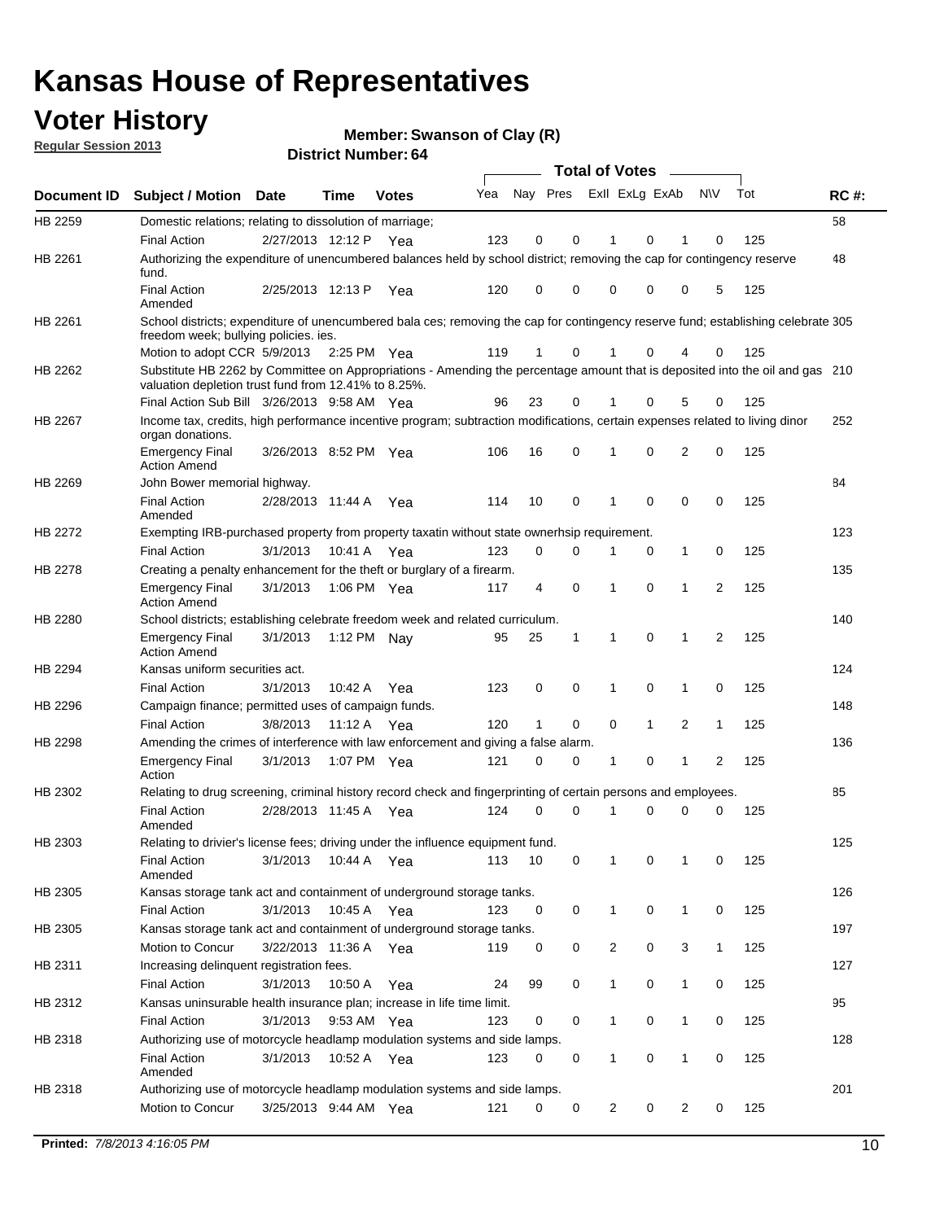## **Voter History**

**Member: Swanson of Clay (R)** 

**Regular Session 2013**

|                    |                                                                                                                                                                                       |                       |             | <b>DISTILL MUILIDEL. 04</b> |     |                         |             | Total of Votes – |              |                |              |     |             |
|--------------------|---------------------------------------------------------------------------------------------------------------------------------------------------------------------------------------|-----------------------|-------------|-----------------------------|-----|-------------------------|-------------|------------------|--------------|----------------|--------------|-----|-------------|
| <b>Document ID</b> | <b>Subject / Motion</b>                                                                                                                                                               | <b>Date</b>           | Time        | <b>Votes</b>                | Yea | Nay Pres ExII ExLg ExAb |             |                  |              |                | <b>NV</b>    | Tot | <b>RC#:</b> |
| HB 2259            | Domestic relations; relating to dissolution of marriage;                                                                                                                              |                       |             |                             |     |                         |             |                  |              |                |              |     | 58          |
|                    | <b>Final Action</b>                                                                                                                                                                   | 2/27/2013 12:12 P Yea |             |                             | 123 | 0                       | 0           | 1                | 0            | 1              | 0            | 125 |             |
| HB 2261            | Authorizing the expenditure of unencumbered balances held by school district; removing the cap for contingency reserve<br>fund.                                                       |                       |             |                             |     |                         |             |                  |              |                |              |     | 48          |
|                    | <b>Final Action</b><br>Amended                                                                                                                                                        | 2/25/2013 12:13 P     |             | Yea                         | 120 | 0                       | 0           | 0                | 0            | 0              | 5            | 125 |             |
| HB 2261            | School districts; expenditure of unencumbered bala ces; removing the cap for contingency reserve fund; establishing celebrate 305                                                     |                       |             |                             |     |                         |             |                  |              |                |              |     |             |
|                    | freedom week; bullying policies. ies.<br>Motion to adopt CCR 5/9/2013                                                                                                                 |                       | 2:25 PM Yea |                             | 119 | $\mathbf{1}$            | 0           | 1                | 0            | 4              | 0            | 125 |             |
| HB 2262            | Substitute HB 2262 by Committee on Appropriations - Amending the percentage amount that is deposited into the oil and gas 210<br>valuation depletion trust fund from 12.41% to 8.25%. |                       |             |                             |     |                         |             |                  |              |                |              |     |             |
|                    | Final Action Sub Bill 3/26/2013 9:58 AM Yea                                                                                                                                           |                       |             |                             | 96  | 23                      | 0           |                  | 0            | 5              | 0            | 125 |             |
| HB 2267            | Income tax, credits, high performance incentive program; subtraction modifications, certain expenses related to living dinor                                                          |                       |             |                             |     |                         |             |                  |              |                |              |     | 252         |
|                    | organ donations.<br><b>Emergency Final</b>                                                                                                                                            | 3/26/2013 8:52 PM Yea |             |                             | 106 | 16                      | 0           | $\mathbf 1$      | 0            | 2              | 0            | 125 |             |
|                    | <b>Action Amend</b>                                                                                                                                                                   |                       |             |                             |     |                         |             |                  |              |                |              |     |             |
| HB 2269            | John Bower memorial highway.                                                                                                                                                          |                       |             |                             |     |                         |             |                  |              |                |              |     | 84          |
|                    | <b>Final Action</b><br>Amended                                                                                                                                                        | 2/28/2013 11:44 A Yea |             |                             | 114 | 10                      | 0           | 1                | 0            | 0              | 0            | 125 |             |
| HB 2272            | Exempting IRB-purchased property from property taxatin without state ownerhsip requirement.                                                                                           |                       |             |                             |     |                         |             |                  |              |                |              |     | 123         |
|                    | <b>Final Action</b>                                                                                                                                                                   | 3/1/2013              | 10:41 A Yea |                             | 123 | 0                       | 0           | 1                | 0            | $\mathbf{1}$   | 0            | 125 |             |
| HB 2278            | Creating a penalty enhancement for the theft or burglary of a firearm.                                                                                                                |                       |             |                             |     |                         |             |                  |              |                |              |     | 135         |
|                    | <b>Emergency Final</b><br><b>Action Amend</b>                                                                                                                                         | 3/1/2013              | 1:06 PM Yea |                             | 117 | 4                       | $\mathbf 0$ | 1                | $\Omega$     | $\mathbf 1$    | 2            | 125 |             |
| HB 2280            | School districts; establishing celebrate freedom week and related curriculum.                                                                                                         |                       |             |                             |     |                         |             |                  |              |                |              |     | 140         |
|                    | <b>Emergency Final</b><br><b>Action Amend</b>                                                                                                                                         | 3/1/2013              | 1:12 PM Nay |                             | 95  | 25                      | 1           | 1                | $\mathbf 0$  | $\mathbf{1}$   | 2            | 125 |             |
| HB 2294            | Kansas uniform securities act.                                                                                                                                                        |                       |             |                             |     |                         |             |                  |              |                |              |     | 124         |
|                    | <b>Final Action</b>                                                                                                                                                                   | 3/1/2013              | 10:42 A     | Yea                         | 123 | 0                       | 0           | 1                | 0            | 1              | 0            | 125 |             |
| HB 2296            | Campaign finance; permitted uses of campaign funds.                                                                                                                                   |                       |             |                             |     |                         |             |                  |              |                |              |     | 148         |
|                    | <b>Final Action</b>                                                                                                                                                                   | 3/8/2013              | 11:12 A Yea |                             | 120 | $\mathbf{1}$            | 0           | 0                | $\mathbf{1}$ | $\overline{2}$ | $\mathbf{1}$ | 125 |             |
| HB 2298            | Amending the crimes of interference with law enforcement and giving a false alarm.                                                                                                    |                       |             |                             |     |                         |             |                  |              |                |              |     | 136         |
|                    | <b>Emergency Final</b><br>Action                                                                                                                                                      | 3/1/2013              | 1:07 PM Yea |                             | 121 | 0                       | 0           | 1                | 0            | 1              | 2            | 125 |             |
| HB 2302            | Relating to drug screening, criminal history record check and fingerprinting of certain persons and employees.                                                                        |                       |             |                             |     |                         |             |                  |              |                |              |     | 85          |
|                    | <b>Final Action</b><br>Amended                                                                                                                                                        | 2/28/2013 11:45 A Yea |             |                             | 124 | 0                       | 0           | $\mathbf 1$      | 0            | 0              | 0            | 125 |             |
| HB 2303            | Relating to drivier's license fees; driving under the influence equipment fund.                                                                                                       |                       |             |                             |     |                         |             |                  |              |                |              |     | 125         |
|                    | <b>Final Action</b><br>Amended                                                                                                                                                        | 3/1/2013              | 10:44 A Yea |                             | 113 | 10                      | 0           |                  | 0            | 1              | 0            | 125 |             |
| HB 2305            | Kansas storage tank act and containment of underground storage tanks.                                                                                                                 |                       |             |                             |     |                         |             |                  |              |                |              |     | 126         |
|                    | <b>Final Action</b>                                                                                                                                                                   | 3/1/2013              | 10:45 A     | Yea                         | 123 | 0                       | 0           | $\mathbf 1$      | 0            | $\mathbf{1}$   | 0            | 125 |             |
| HB 2305            | Kansas storage tank act and containment of underground storage tanks.                                                                                                                 |                       |             |                             |     |                         |             |                  |              |                |              |     | 197         |
|                    | Motion to Concur                                                                                                                                                                      | 3/22/2013 11:36 A     |             | Yea                         | 119 | 0                       | 0           | 2                | 0            | 3              | $\mathbf{1}$ | 125 |             |
| HB 2311            | Increasing delinquent registration fees.                                                                                                                                              |                       |             |                             |     |                         |             |                  |              |                |              |     | 127         |
|                    | <b>Final Action</b>                                                                                                                                                                   | 3/1/2013              | 10:50 A     | Yea                         | 24  | 99                      | 0           | 1                | 0            | 1              | 0            | 125 |             |
| HB 2312            | Kansas uninsurable health insurance plan; increase in life time limit.                                                                                                                |                       |             |                             |     |                         |             |                  |              |                |              |     | 95          |
|                    | <b>Final Action</b>                                                                                                                                                                   | 3/1/2013              | 9:53 AM Yea |                             | 123 | 0                       | 0           | 1                | 0            | 1              | 0            | 125 |             |
| HB 2318            | Authorizing use of motorcycle headlamp modulation systems and side lamps.                                                                                                             |                       |             |                             |     |                         |             |                  |              |                |              |     | 128         |
|                    | <b>Final Action</b><br>Amended                                                                                                                                                        | 3/1/2013              | 10:52 A     | Yea                         | 123 | 0                       | 0           | 1                | 0            | 1              | 0            | 125 |             |
| HB 2318            | Authorizing use of motorcycle headlamp modulation systems and side lamps.                                                                                                             |                       |             |                             |     |                         |             |                  |              |                |              |     | 201         |
|                    | Motion to Concur                                                                                                                                                                      | 3/25/2013 9:44 AM Yea |             |                             | 121 | 0                       | 0           | 2                | 0            | 2              | 0            | 125 |             |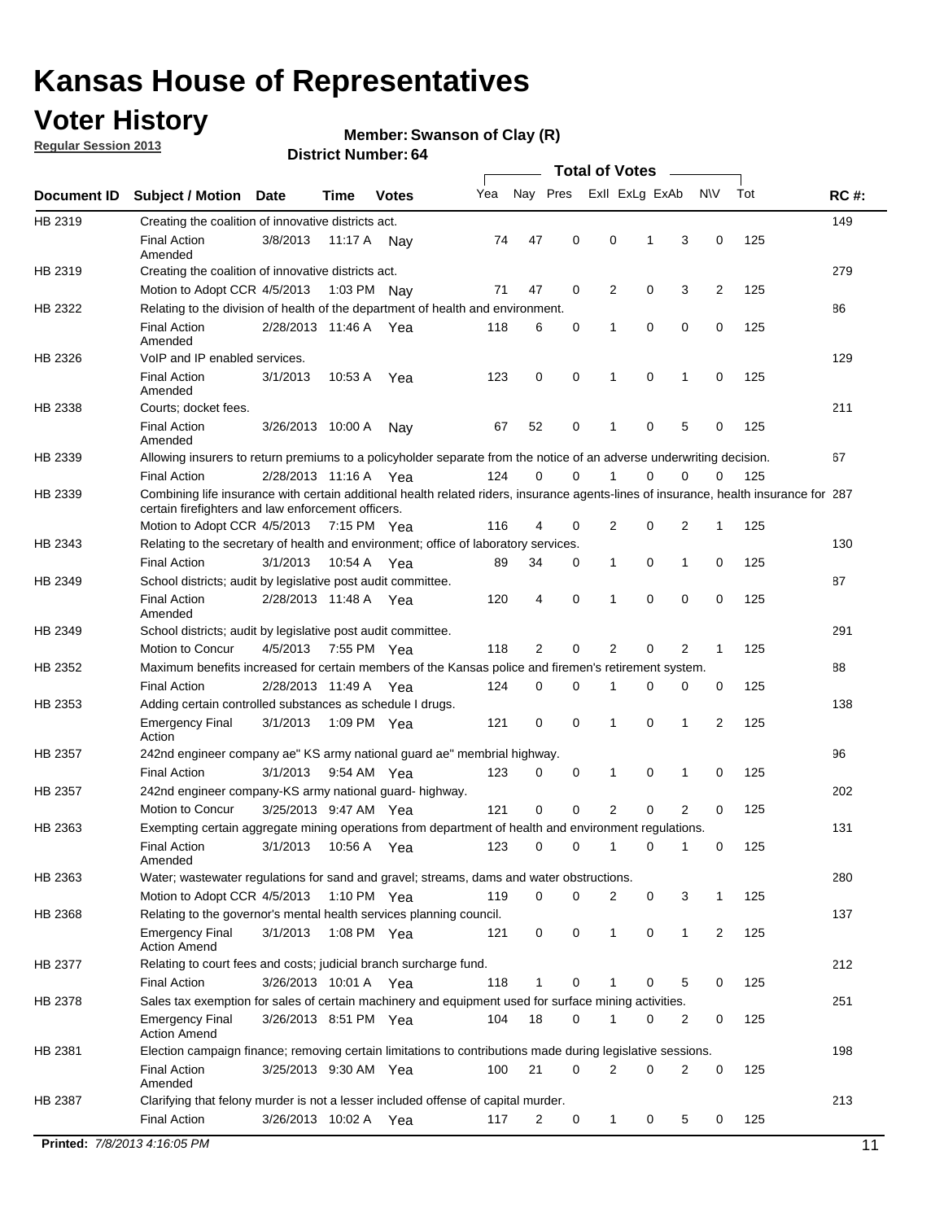## **Voter History**

**Member: Swanson of Clay (R)** 

**Regular Session 2013**

**District Number: 64**

|             |                                                                                                                                                                                             |                       |             |              |     |          |             | <b>Total of Votes</b> |   |                |              |     |             |
|-------------|---------------------------------------------------------------------------------------------------------------------------------------------------------------------------------------------|-----------------------|-------------|--------------|-----|----------|-------------|-----------------------|---|----------------|--------------|-----|-------------|
| Document ID | <b>Subject / Motion</b>                                                                                                                                                                     | <b>Date</b>           | Time        | <b>Votes</b> | Yea | Nay Pres |             | Exll ExLg ExAb        |   |                | <b>NV</b>    | Tot | <b>RC#:</b> |
| HB 2319     | Creating the coalition of innovative districts act.                                                                                                                                         |                       |             |              |     |          |             |                       |   |                |              |     | 149         |
|             | <b>Final Action</b><br>Amended                                                                                                                                                              | 3/8/2013              | 11:17 A     | Nav          | 74  | 47       | 0           | 0                     | 1 | 3              | 0            | 125 |             |
| HB 2319     | Creating the coalition of innovative districts act.                                                                                                                                         |                       |             |              |     |          |             |                       |   |                |              |     | 279         |
|             | Motion to Adopt CCR 4/5/2013                                                                                                                                                                |                       | 1:03 PM     | Nay          | 71  | 47       | 0           | 2                     | 0 | 3              | 2            | 125 |             |
| HB 2322     | Relating to the division of health of the department of health and environment.                                                                                                             |                       |             |              |     |          |             |                       |   |                |              |     | 86          |
|             | <b>Final Action</b><br>Amended                                                                                                                                                              | 2/28/2013 11:46 A Yea |             |              | 118 | 6        | 0           | 1                     | 0 | 0              | 0            | 125 |             |
| HB 2326     | VoIP and IP enabled services.                                                                                                                                                               |                       |             |              |     |          |             |                       |   |                |              |     | 129         |
|             | <b>Final Action</b><br>Amended                                                                                                                                                              | 3/1/2013              | 10:53 A     | Yea          | 123 | 0        | 0           | 1                     | 0 | 1              | 0            | 125 |             |
| HB 2338     | Courts; docket fees.                                                                                                                                                                        |                       |             |              |     |          |             |                       |   |                |              |     | 211         |
|             | <b>Final Action</b><br>Amended                                                                                                                                                              | 3/26/2013 10:00 A     |             | Nav          | 67  | 52       | 0           | 1                     | 0 | 5              | 0            | 125 |             |
| HB 2339     | Allowing insurers to return premiums to a policyholder separate from the notice of an adverse underwriting decision.                                                                        |                       |             |              |     |          |             |                       |   |                |              |     | 67          |
|             | <b>Final Action</b>                                                                                                                                                                         | 2/28/2013 11:16 A Yea |             |              | 124 | 0        | 0           |                       | 0 | 0              | 0            | 125 |             |
| HB 2339     | Combining life insurance with certain additional health related riders, insurance agents-lines of insurance, health insurance for 287<br>certain firefighters and law enforcement officers. |                       |             |              |     |          |             |                       |   |                |              |     |             |
|             | Motion to Adopt CCR 4/5/2013 7:15 PM Yea                                                                                                                                                    |                       |             |              | 116 | 4        | 0           | $\overline{2}$        | 0 | 2              | $\mathbf{1}$ | 125 |             |
| HB 2343     | Relating to the secretary of health and environment; office of laboratory services.                                                                                                         |                       |             |              |     |          |             |                       |   |                |              |     | 130         |
|             | <b>Final Action</b>                                                                                                                                                                         | 3/1/2013              |             | 10:54 A Yea  | 89  | 34       | 0           | 1                     | 0 | 1              | 0            | 125 |             |
| HB 2349     | School districts; audit by legislative post audit committee.                                                                                                                                |                       |             |              |     |          |             |                       |   |                |              |     | 87          |
|             | <b>Final Action</b><br>Amended                                                                                                                                                              | 2/28/2013 11:48 A Yea |             |              | 120 | 4        | 0           | 1                     | 0 | 0              | 0            | 125 |             |
| HB 2349     | School districts; audit by legislative post audit committee.                                                                                                                                |                       |             |              |     |          |             |                       |   |                |              |     | 291         |
|             | Motion to Concur                                                                                                                                                                            | 4/5/2013              | 7:55 PM Yea |              | 118 | 2        | 0           | 2                     | 0 | $\overline{2}$ | $\mathbf{1}$ | 125 |             |
| HB 2352     | Maximum benefits increased for certain members of the Kansas police and firemen's retirement system.                                                                                        |                       |             |              |     |          |             |                       |   |                |              |     | 88          |
|             | <b>Final Action</b>                                                                                                                                                                         | 2/28/2013 11:49 A     |             | Yea          | 124 | 0        | 0           | 1                     | 0 | 0              | 0            | 125 |             |
| HB 2353     | Adding certain controlled substances as schedule I drugs.                                                                                                                                   |                       |             |              |     |          |             |                       |   |                |              |     | 138         |
|             | <b>Emergency Final</b><br>Action                                                                                                                                                            | 3/1/2013              |             | 1:09 PM Yea  | 121 | 0        | $\mathbf 0$ | 1                     | 0 | 1              | 2            | 125 |             |
| HB 2357     | 242nd engineer company ae" KS army national guard ae" membrial highway.                                                                                                                     |                       |             |              |     |          |             |                       |   |                |              |     | 96          |
|             | <b>Final Action</b>                                                                                                                                                                         | 3/1/2013              |             | 9:54 AM Yea  | 123 | 0        | 0           | 1                     | 0 | 1              | 0            | 125 |             |
| HB 2357     | 242nd engineer company-KS army national guard- highway.                                                                                                                                     |                       |             |              |     |          |             |                       |   |                |              |     | 202         |
|             | Motion to Concur                                                                                                                                                                            | 3/25/2013 9:47 AM Yea |             |              | 121 | 0        | 0           | 2                     | 0 | 2              | 0            | 125 |             |
| HB 2363     | Exempting certain aggregate mining operations from department of health and environment regulations.                                                                                        |                       |             |              |     |          |             |                       |   |                |              |     | 131         |
|             | <b>Final Action</b><br>Amended                                                                                                                                                              | 3/1/2013              | 10:56 A     | Yea          | 123 | 0        | 0           | 1                     | 0 | 1              | 0            | 125 |             |
| HB 2363     | Water; wastewater regulations for sand and gravel; streams, dams and water obstructions.                                                                                                    |                       |             |              |     |          |             |                       |   |                |              |     | 280         |
|             | Motion to Adopt CCR 4/5/2013                                                                                                                                                                |                       |             | 1:10 PM Yea  | 119 | 0        | 0           | 2                     | 0 | 3              | 1            | 125 |             |
| HB 2368     | Relating to the governor's mental health services planning council.                                                                                                                         |                       |             |              |     |          |             |                       |   |                |              |     | 137         |
|             | Emergency Final<br><b>Action Amend</b>                                                                                                                                                      | 3/1/2013              |             | 1:08 PM Yea  | 121 | 0        | 0           | $\mathbf{1}$          | 0 | $\mathbf{1}$   | 2            | 125 |             |
| HB 2377     | Relating to court fees and costs; judicial branch surcharge fund.                                                                                                                           |                       |             |              |     |          |             |                       |   |                |              |     | 212         |
|             | Final Action                                                                                                                                                                                | 3/26/2013 10:01 A Yea |             |              | 118 | 1        | 0           |                       | 0 | 5              | 0            | 125 |             |
| HB 2378     | Sales tax exemption for sales of certain machinery and equipment used for surface mining activities.                                                                                        |                       |             |              |     |          |             |                       |   |                |              |     | 251         |
|             | <b>Emergency Final</b><br><b>Action Amend</b>                                                                                                                                               | 3/26/2013 8:51 PM Yea |             |              | 104 | 18       | 0           | 1                     | 0 | 2              | 0            | 125 |             |
| HB 2381     | Election campaign finance; removing certain limitations to contributions made during legislative sessions.                                                                                  |                       |             |              |     |          |             |                       |   |                |              |     | 198         |
|             | <b>Final Action</b><br>Amended                                                                                                                                                              | 3/25/2013 9:30 AM Yea |             |              | 100 | 21       | 0           | $\overline{2}$        | 0 | 2              | 0            | 125 |             |
| HB 2387     | Clarifying that felony murder is not a lesser included offense of capital murder.<br><b>Final Action</b>                                                                                    | 3/26/2013 10:02 A     |             | Yea          | 117 | 2        | 0           | $\mathbf{1}$          | 0 | 5              | 0            | 125 | 213         |
|             |                                                                                                                                                                                             |                       |             |              |     |          |             |                       |   |                |              |     |             |

**Printed:** *7/8/2013 4:16:05 PM* 11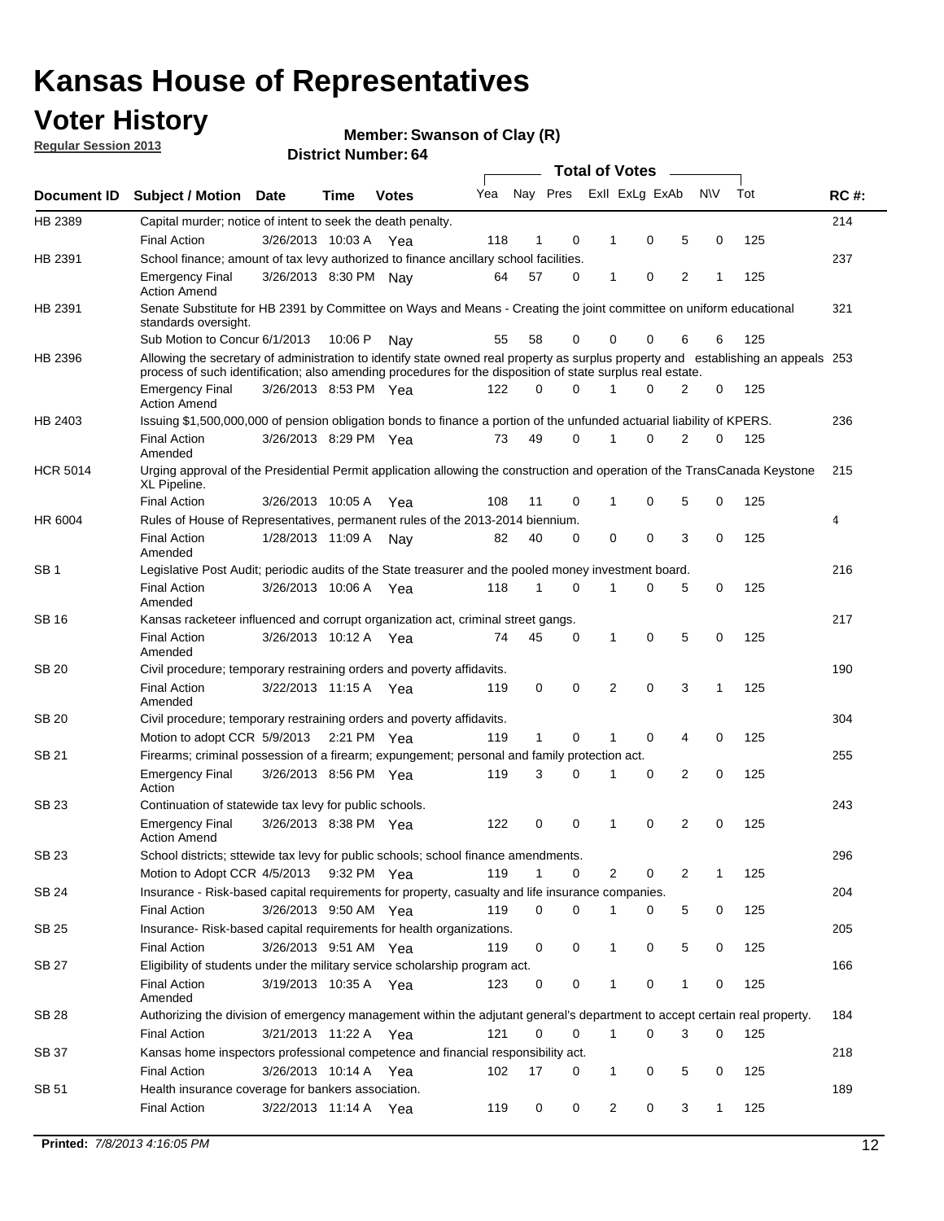## **Voter History**

**Member: Swanson of Clay (R)** 

**Regular Session 2013**

|                    |                                                                                                                                                                                                                                                  |                       |             |              |     |    |             |                | <b>Total of Votes</b>   | $\sim$         |           |     |     |
|--------------------|--------------------------------------------------------------------------------------------------------------------------------------------------------------------------------------------------------------------------------------------------|-----------------------|-------------|--------------|-----|----|-------------|----------------|-------------------------|----------------|-----------|-----|-----|
| <b>Document ID</b> | Subject / Motion Date                                                                                                                                                                                                                            |                       | Time        | <b>Votes</b> | Yea |    |             |                | Nay Pres Exll ExLg ExAb |                | <b>NV</b> | Tot | RC# |
| HB 2389            | Capital murder; notice of intent to seek the death penalty.                                                                                                                                                                                      |                       |             |              |     |    |             |                |                         |                |           |     | 214 |
|                    | <b>Final Action</b>                                                                                                                                                                                                                              | 3/26/2013 10:03 A     |             | Yea          | 118 | 1  | 0           | 1              | 0                       | 5              | 0         | 125 |     |
| HB 2391            | School finance; amount of tax levy authorized to finance ancillary school facilities.                                                                                                                                                            |                       |             |              |     |    |             |                |                         |                |           |     | 237 |
|                    | <b>Emergency Final</b><br><b>Action Amend</b>                                                                                                                                                                                                    | 3/26/2013 8:30 PM Nay |             |              | 64  | 57 | 0           | 1              | 0                       | $\overline{2}$ | 1         | 125 |     |
| HB 2391            | Senate Substitute for HB 2391 by Committee on Ways and Means - Creating the joint committee on uniform educational<br>standards oversight.                                                                                                       |                       |             |              |     |    |             |                |                         |                |           |     | 321 |
|                    | Sub Motion to Concur 6/1/2013                                                                                                                                                                                                                    |                       | 10:06 P     | Nav          | 55  | 58 | 0           | 0              | 0                       | 6              | 6         | 125 |     |
| HB 2396            | Allowing the secretary of administration to identify state owned real property as surplus property and establishing an appeals 253<br>process of such identification; also amending procedures for the disposition of state surplus real estate. |                       |             |              |     |    |             |                |                         |                |           |     |     |
|                    | <b>Emergency Final</b><br><b>Action Amend</b>                                                                                                                                                                                                    | 3/26/2013 8:53 PM Yea |             |              | 122 | 0  | $\Omega$    |                | $\Omega$                | 2              | 0         | 125 |     |
| HB 2403            | Issuing \$1,500,000,000 of pension obligation bonds to finance a portion of the unfunded actuarial liability of KPERS.                                                                                                                           |                       |             |              |     |    |             |                |                         |                |           |     | 236 |
|                    | <b>Final Action</b><br>Amended                                                                                                                                                                                                                   | 3/26/2013 8:29 PM Yea |             |              | 73  | 49 | $\Omega$    | 1              | 0                       | 2              | 0         | 125 |     |
| <b>HCR 5014</b>    | Urging approval of the Presidential Permit application allowing the construction and operation of the TransCanada Keystone<br>XL Pipeline.                                                                                                       |                       |             |              |     |    |             |                |                         |                |           |     | 215 |
|                    | <b>Final Action</b>                                                                                                                                                                                                                              | 3/26/2013 10:05 A     |             | Yea          | 108 | 11 | 0           | 1              | 0                       | 5              | 0         | 125 |     |
| HR 6004            | Rules of House of Representatives, permanent rules of the 2013-2014 biennium.                                                                                                                                                                    |                       |             |              |     |    |             |                |                         |                |           |     | 4   |
|                    | <b>Final Action</b><br>Amended                                                                                                                                                                                                                   | 1/28/2013 11:09 A     |             | Nav          | 82  | 40 | 0           | 0              | 0                       | 3              | $\Omega$  | 125 |     |
| SB 1               | Legislative Post Audit; periodic audits of the State treasurer and the pooled money investment board.                                                                                                                                            |                       |             |              |     |    |             |                |                         |                |           |     | 216 |
|                    | <b>Final Action</b><br>Amended                                                                                                                                                                                                                   | 3/26/2013 10:06 A     |             | Yea          | 118 | 1  | 0           | 1              | 0                       | 5              | 0         | 125 |     |
| SB 16              | Kansas racketeer influenced and corrupt organization act, criminal street gangs.                                                                                                                                                                 |                       |             |              |     |    |             |                |                         |                |           |     | 217 |
|                    | <b>Final Action</b><br>Amended                                                                                                                                                                                                                   | 3/26/2013 10:12 A     |             | Yea          | 74  | 45 | 0           | 1              | 0                       | 5              | 0         | 125 |     |
| SB 20              | Civil procedure; temporary restraining orders and poverty affidavits.                                                                                                                                                                            |                       |             |              |     |    |             |                |                         |                |           |     | 190 |
|                    | <b>Final Action</b><br>Amended                                                                                                                                                                                                                   | 3/22/2013 11:15 A     |             | Yea          | 119 | 0  | 0           | 2              | 0                       | 3              | 1         | 125 |     |
| <b>SB 20</b>       | Civil procedure; temporary restraining orders and poverty affidavits.                                                                                                                                                                            |                       |             |              |     |    |             |                |                         |                |           |     | 304 |
|                    | Motion to adopt CCR 5/9/2013                                                                                                                                                                                                                     |                       |             | 2:21 PM Yea  | 119 | 1  | 0           |                | 0                       | 4              | 0         | 125 |     |
| SB 21              | Firearms; criminal possession of a firearm; expungement; personal and family protection act.                                                                                                                                                     |                       |             |              |     |    |             |                |                         |                |           |     | 255 |
|                    | <b>Emergency Final</b><br>Action                                                                                                                                                                                                                 | 3/26/2013 8:56 PM Yea |             |              | 119 | 3  | $\Omega$    | 1              | 0                       | $\overline{2}$ | 0         | 125 |     |
| SB 23              | Continuation of statewide tax levy for public schools.                                                                                                                                                                                           |                       |             |              |     |    |             |                |                         |                |           |     | 243 |
|                    | <b>Emergency Final</b><br><b>Action Amend</b>                                                                                                                                                                                                    | 3/26/2013 8:38 PM Yea |             |              | 122 | 0  | 0           | 1              | 0                       | 2              | 0         | 125 |     |
| SB 23              | School districts; sttewide tax levy for public schools; school finance amendments.                                                                                                                                                               |                       |             |              |     |    |             |                |                         |                |           |     | 296 |
|                    | Motion to Adopt CCR 4/5/2013                                                                                                                                                                                                                     |                       | 9:32 PM Yea |              | 119 | 1  | 0           | 2              | 0                       | 2              | 1         | 125 |     |
| <b>SB 24</b>       | Insurance - Risk-based capital requirements for property, casualty and life insurance companies.                                                                                                                                                 |                       |             |              |     |    |             |                |                         |                |           |     | 204 |
|                    | <b>Final Action</b>                                                                                                                                                                                                                              | 3/26/2013 9:50 AM Yea |             |              | 119 | 0  | 0           | 1              | 0                       | 5              | 0         | 125 |     |
| <b>SB 25</b>       | Insurance-Risk-based capital requirements for health organizations.                                                                                                                                                                              |                       |             |              |     |    |             |                |                         |                |           |     | 205 |
|                    | <b>Final Action</b>                                                                                                                                                                                                                              | 3/26/2013 9:51 AM Yea |             |              | 119 | 0  | 0           | 1              | 0                       | 5              | 0         | 125 |     |
| <b>SB 27</b>       | Eligibility of students under the military service scholarship program act.                                                                                                                                                                      |                       |             |              |     |    |             |                |                         |                |           |     | 166 |
|                    | <b>Final Action</b><br>Amended                                                                                                                                                                                                                   | 3/19/2013 10:35 A Yea |             |              | 123 | 0  | 0           | 1              | 0                       | 1              | 0         | 125 |     |
| SB 28              | Authorizing the division of emergency management within the adjutant general's department to accept certain real property.                                                                                                                       |                       |             |              |     |    |             |                |                         |                |           |     | 184 |
|                    | Final Action                                                                                                                                                                                                                                     | 3/21/2013 11:22 A Yea |             |              | 121 | 0  | $\mathbf 0$ | $\mathbf{1}$   | 0                       | 3              | 0         | 125 |     |
| <b>SB 37</b>       | Kansas home inspectors professional competence and financial responsibility act.                                                                                                                                                                 |                       |             |              |     |    |             |                |                         |                |           |     | 218 |
|                    | <b>Final Action</b>                                                                                                                                                                                                                              | 3/26/2013 10:14 A Yea |             |              | 102 | 17 | 0           | 1              | 0                       | 5              | 0         | 125 |     |
| SB 51              | Health insurance coverage for bankers association.                                                                                                                                                                                               |                       |             |              |     |    |             |                |                         |                |           |     | 189 |
|                    | <b>Final Action</b>                                                                                                                                                                                                                              | 3/22/2013 11:14 A Yea |             |              | 119 | 0  | 0           | $\overline{c}$ | 0                       | 3              | 1         | 125 |     |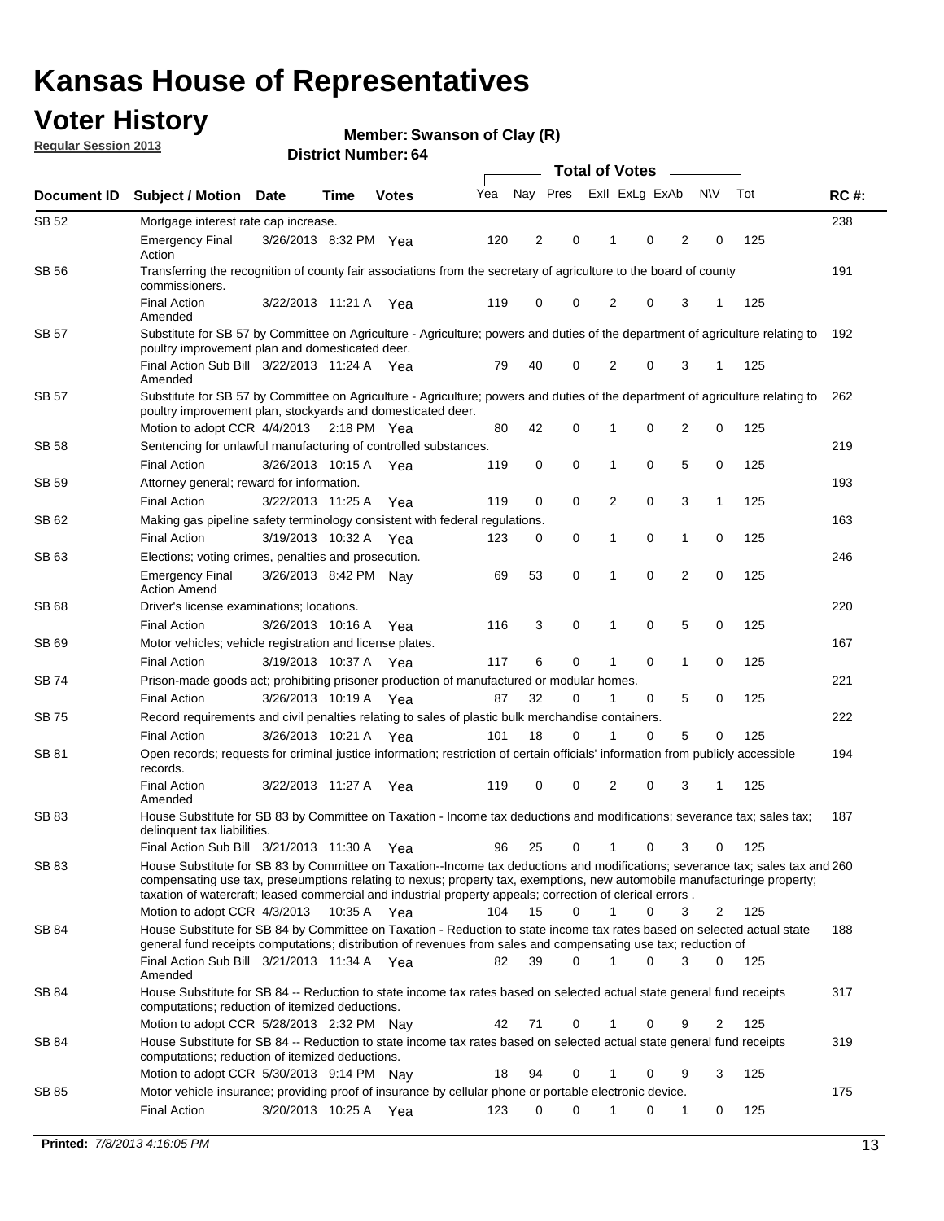## **Voter History**

**Member: Swanson of Clay (R)** 

**Regular Session 2013**

|              |                                                                                                                                                                                                                                                                                                                                                                                                         |                       |             |              |     | <b>Total of Votes</b> |             |                |   |                |             |     |             |  |
|--------------|---------------------------------------------------------------------------------------------------------------------------------------------------------------------------------------------------------------------------------------------------------------------------------------------------------------------------------------------------------------------------------------------------------|-----------------------|-------------|--------------|-----|-----------------------|-------------|----------------|---|----------------|-------------|-----|-------------|--|
| Document ID  | <b>Subject / Motion Date</b>                                                                                                                                                                                                                                                                                                                                                                            |                       | Time        | <b>Votes</b> | Yea | Nay Pres              |             | Exll ExLg ExAb |   |                | <b>NV</b>   | Tot | <b>RC#:</b> |  |
| SB 52        | Mortgage interest rate cap increase.                                                                                                                                                                                                                                                                                                                                                                    |                       |             |              |     |                       |             |                |   |                |             |     | 238         |  |
|              | <b>Emergency Final</b><br>Action                                                                                                                                                                                                                                                                                                                                                                        | 3/26/2013 8:32 PM Yea |             |              | 120 | 2                     | 0           |                | 0 | 2              | 0           | 125 |             |  |
| SB 56        | Transferring the recognition of county fair associations from the secretary of agriculture to the board of county<br>commissioners.                                                                                                                                                                                                                                                                     |                       |             |              |     |                       |             |                |   |                |             |     | 191         |  |
|              | <b>Final Action</b><br>Amended                                                                                                                                                                                                                                                                                                                                                                          | 3/22/2013 11:21 A     |             | Yea          | 119 | 0                     | 0           | 2              | 0 | 3              | 1           | 125 |             |  |
| SB 57        | Substitute for SB 57 by Committee on Agriculture - Agriculture; powers and duties of the department of agriculture relating to<br>poultry improvement plan and domesticated deer.                                                                                                                                                                                                                       |                       |             |              |     |                       |             |                |   |                |             |     | 192         |  |
|              | Final Action Sub Bill 3/22/2013 11:24 A Yea<br>Amended                                                                                                                                                                                                                                                                                                                                                  |                       |             |              | 79  | 40                    | 0           | 2              | 0 | 3              | 1           | 125 |             |  |
| SB 57        | Substitute for SB 57 by Committee on Agriculture - Agriculture; powers and duties of the department of agriculture relating to<br>poultry improvement plan, stockyards and domesticated deer.                                                                                                                                                                                                           |                       |             |              |     |                       |             |                |   |                |             |     | 262         |  |
|              | Motion to adopt CCR 4/4/2013 2:18 PM Yea                                                                                                                                                                                                                                                                                                                                                                |                       |             |              | 80  | 42                    | 0           | 1              | 0 | 2              | 0           | 125 |             |  |
| SB 58        | Sentencing for unlawful manufacturing of controlled substances.                                                                                                                                                                                                                                                                                                                                         |                       |             |              |     |                       |             |                |   |                |             |     | 219         |  |
|              | <b>Final Action</b>                                                                                                                                                                                                                                                                                                                                                                                     | 3/26/2013 10:15 A     |             | Yea          | 119 | 0                     | 0           | 1              | 0 | 5              | 0           | 125 |             |  |
| <b>SB 59</b> | Attorney general; reward for information.                                                                                                                                                                                                                                                                                                                                                               |                       |             |              |     |                       |             |                |   |                |             |     | 193         |  |
|              | <b>Final Action</b>                                                                                                                                                                                                                                                                                                                                                                                     | 3/22/2013 11:25 A     |             | Yea          | 119 | 0                     | 0           | 2              | 0 | 3              | 1           | 125 |             |  |
| SB 62        | Making gas pipeline safety terminology consistent with federal regulations.                                                                                                                                                                                                                                                                                                                             |                       |             |              |     |                       |             |                |   |                |             |     | 163         |  |
|              | <b>Final Action</b>                                                                                                                                                                                                                                                                                                                                                                                     | 3/19/2013 10:32 A     |             | Yea          | 123 | 0                     | 0           | 1              | 0 | 1              | 0           | 125 |             |  |
| SB 63        | Elections; voting crimes, penalties and prosecution.                                                                                                                                                                                                                                                                                                                                                    |                       |             |              |     |                       |             |                |   |                |             |     | 246         |  |
|              | <b>Emergency Final</b><br><b>Action Amend</b>                                                                                                                                                                                                                                                                                                                                                           | 3/26/2013 8:42 PM Nay |             |              | 69  | 53                    | $\mathbf 0$ | 1              | 0 | $\overline{2}$ | $\mathbf 0$ | 125 |             |  |
| SB 68        | Driver's license examinations; locations.                                                                                                                                                                                                                                                                                                                                                               |                       |             |              |     |                       |             |                |   |                |             |     | 220         |  |
|              | <b>Final Action</b>                                                                                                                                                                                                                                                                                                                                                                                     | 3/26/2013 10:16 A     |             | Yea          | 116 | 3                     | 0           | 1              | 0 | 5              | 0           | 125 |             |  |
| SB 69        | Motor vehicles; vehicle registration and license plates.                                                                                                                                                                                                                                                                                                                                                |                       |             |              |     |                       |             |                |   |                |             |     | 167         |  |
|              | <b>Final Action</b>                                                                                                                                                                                                                                                                                                                                                                                     | 3/19/2013 10:37 A     |             | Yea          | 117 | 6                     | 0           | 1              | 0 | $\mathbf{1}$   | 0           | 125 |             |  |
| SB 74        | Prison-made goods act; prohibiting prisoner production of manufactured or modular homes.                                                                                                                                                                                                                                                                                                                |                       |             |              |     |                       |             |                |   |                |             |     | 221         |  |
|              | <b>Final Action</b>                                                                                                                                                                                                                                                                                                                                                                                     | 3/26/2013 10:19 A     |             | Yea          | 87  | 32                    | 0           | 1              | 0 | 5              | 0           | 125 |             |  |
| SB 75        | Record requirements and civil penalties relating to sales of plastic bulk merchandise containers.                                                                                                                                                                                                                                                                                                       |                       |             |              |     | 18                    | 0           | 1              | 0 | 5              | 0           | 125 | 222         |  |
|              | <b>Final Action</b>                                                                                                                                                                                                                                                                                                                                                                                     | 3/26/2013 10:21 A     |             | Yea          | 101 |                       |             |                |   |                |             |     |             |  |
| SB 81        | Open records; requests for criminal justice information; restriction of certain officials' information from publicly accessible<br>records.<br><b>Final Action</b>                                                                                                                                                                                                                                      | 3/22/2013 11:27 A     |             | Yea          | 119 | 0                     | 0           | 2              | 0 | 3              |             | 125 | 194         |  |
|              | Amended                                                                                                                                                                                                                                                                                                                                                                                                 |                       |             |              |     |                       |             |                |   |                |             |     |             |  |
| <b>SB 83</b> | House Substitute for SB 83 by Committee on Taxation - Income tax deductions and modifications; severance tax; sales tax;<br>delinquent tax liabilities.                                                                                                                                                                                                                                                 |                       |             |              |     |                       |             |                |   |                |             |     | 187         |  |
|              | Final Action Sub Bill 3/21/2013 11:30 A Yea                                                                                                                                                                                                                                                                                                                                                             |                       |             |              | 96  | 25                    | 0           | 1              | 0 | 3              | 0           | 125 |             |  |
| SB 83        | House Substitute for SB 83 by Committee on Taxation--Income tax deductions and modifications; severance tax; sales tax and 260<br>compensating use tax, preseumptions relating to nexus; property tax, exemptions, new automobile manufacturinge property;<br>taxation of watercraft; leased commercial and industrial property appeals; correction of clerical errors.<br>Motion to adopt CCR 4/3/2013 |                       | 10:35 A Yea |              | 104 | 15                    | 0           | $\mathbf{1}$   | 0 | 3              | 2           | 125 |             |  |
| SB 84        | House Substitute for SB 84 by Committee on Taxation - Reduction to state income tax rates based on selected actual state                                                                                                                                                                                                                                                                                |                       |             |              |     |                       |             |                |   |                |             |     | 188         |  |
|              | general fund receipts computations; distribution of revenues from sales and compensating use tax; reduction of<br>Final Action Sub Bill 3/21/2013 11:34 A Yea                                                                                                                                                                                                                                           |                       |             |              | 82  | 39                    | $\Omega$    |                | 0 | 3              | $\Omega$    | 125 |             |  |
|              | Amended                                                                                                                                                                                                                                                                                                                                                                                                 |                       |             |              |     |                       |             |                |   |                |             |     |             |  |
| SB 84        | House Substitute for SB 84 -- Reduction to state income tax rates based on selected actual state general fund receipts<br>computations; reduction of itemized deductions.                                                                                                                                                                                                                               |                       |             |              |     |                       |             |                |   |                |             |     | 317         |  |
|              | Motion to adopt CCR 5/28/2013 2:32 PM Nav                                                                                                                                                                                                                                                                                                                                                               |                       |             |              | 42  | 71                    | 0           |                | 0 | 9              | 2           | 125 |             |  |
| SB 84        | House Substitute for SB 84 -- Reduction to state income tax rates based on selected actual state general fund receipts<br>computations; reduction of itemized deductions.<br>Motion to adopt CCR 5/30/2013 9:14 PM Nay                                                                                                                                                                                  |                       |             |              | 18  | 94                    | 0           |                | 0 | 9              | 3           |     | 319         |  |
| SB 85        | Motor vehicle insurance; providing proof of insurance by cellular phone or portable electronic device.                                                                                                                                                                                                                                                                                                  |                       |             |              |     |                       |             |                |   |                |             | 125 | 175         |  |
|              | <b>Final Action</b>                                                                                                                                                                                                                                                                                                                                                                                     | 3/20/2013 10:25 A Yea |             |              | 123 | 0                     | $\Omega$    |                | 0 | 1              | 0           | 125 |             |  |
|              |                                                                                                                                                                                                                                                                                                                                                                                                         |                       |             |              |     |                       |             |                |   |                |             |     |             |  |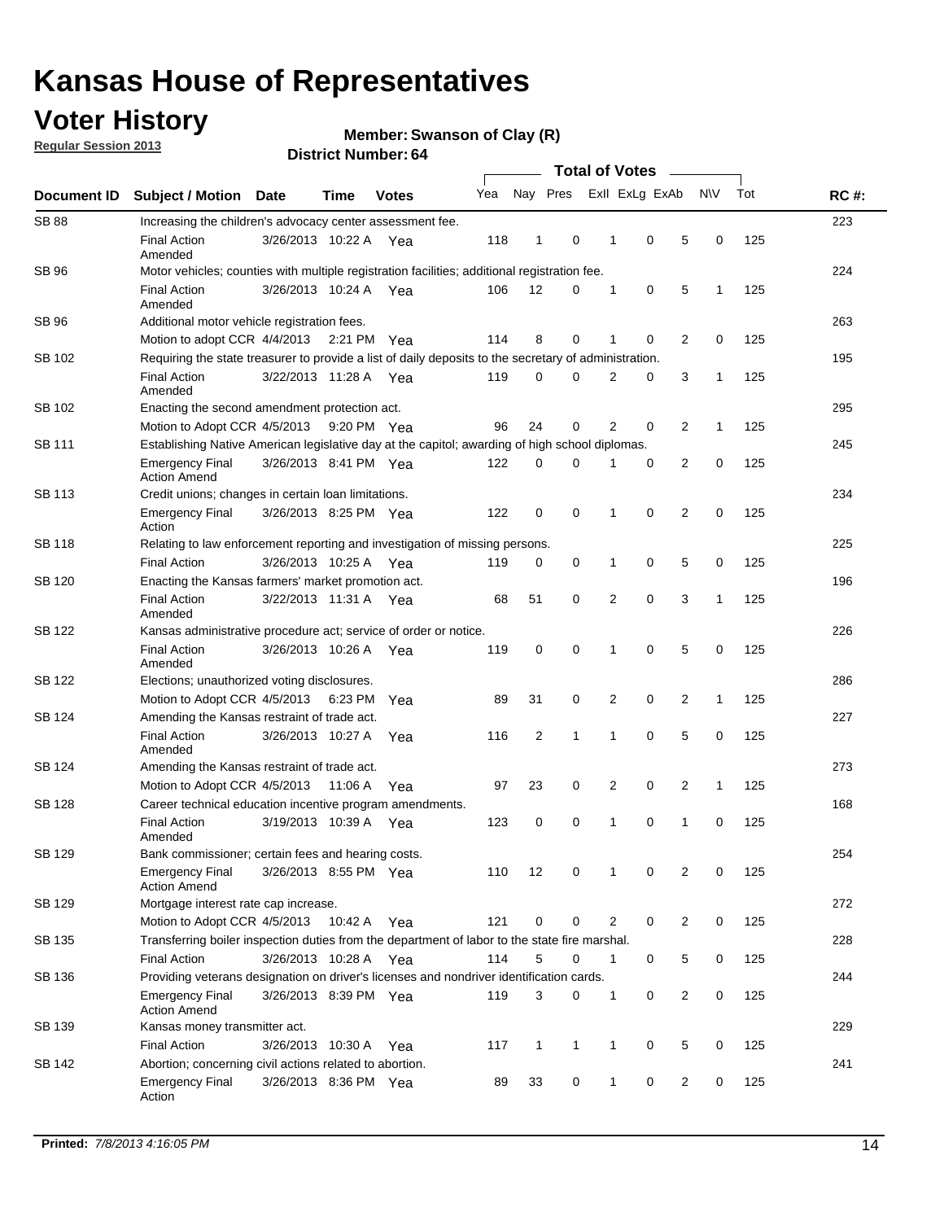## **Voter History**

**Member: Swanson of Clay (R)** 

**Regular Session 2013**

| Document ID  |                                                                                                       |                       | <b>Total of Votes</b> |              |     |              |             |  |                |                |                |              |     |             |
|--------------|-------------------------------------------------------------------------------------------------------|-----------------------|-----------------------|--------------|-----|--------------|-------------|--|----------------|----------------|----------------|--------------|-----|-------------|
|              | <b>Subject / Motion</b>                                                                               | Date                  | <b>Time</b>           | <b>Votes</b> | Yea |              | Nay Pres    |  |                | Exll ExLg ExAb |                | <b>NV</b>    | Tot | <b>RC#:</b> |
| <b>SB 88</b> | Increasing the children's advocacy center assessment fee.                                             |                       |                       |              |     |              |             |  |                |                |                |              |     | 223         |
|              | <b>Final Action</b><br>Amended                                                                        | 3/26/2013 10:22 A Yea |                       |              | 118 | 1            | 0           |  | 1              | 0              | 5              | 0            | 125 |             |
| <b>SB 96</b> | Motor vehicles; counties with multiple registration facilities; additional registration fee.          |                       |                       |              |     |              |             |  |                |                |                |              |     | 224         |
|              | <b>Final Action</b><br>Amended                                                                        | 3/26/2013 10:24 A     |                       | Yea          | 106 | 12           | 0           |  | 1              | 0              | 5              | $\mathbf{1}$ | 125 |             |
| <b>SB 96</b> | Additional motor vehicle registration fees.                                                           |                       |                       |              |     |              |             |  |                |                |                |              |     | 263         |
|              | Motion to adopt CCR 4/4/2013 2:21 PM Yea                                                              |                       |                       |              | 114 | 8            | 0           |  | 1              | 0              | 2              | $\mathbf 0$  | 125 |             |
| SB 102       | Requiring the state treasurer to provide a list of daily deposits to the secretary of administration. |                       |                       |              |     |              |             |  |                |                |                |              |     | 195         |
|              | <b>Final Action</b><br>Amended                                                                        | 3/22/2013 11:28 A     |                       | Yea          | 119 | 0            | 0           |  | 2              | 0              | 3              | 1            | 125 |             |
| SB 102       | Enacting the second amendment protection act.                                                         |                       |                       |              |     |              |             |  |                |                |                |              |     | 295         |
|              | Motion to Adopt CCR 4/5/2013 9:20 PM Yea                                                              |                       |                       |              | 96  | 24           | 0           |  | 2              | 0              | 2              | $\mathbf{1}$ | 125 |             |
| SB 111       | Establishing Native American legislative day at the capitol; awarding of high school diplomas.        |                       |                       |              |     |              |             |  |                |                |                |              |     | 245         |
|              | Emergency Final<br><b>Action Amend</b>                                                                | 3/26/2013 8:41 PM Yea |                       |              | 122 | 0            | $\Omega$    |  | 1              | 0              | 2              | 0            | 125 |             |
| SB 113       | Credit unions; changes in certain loan limitations.                                                   |                       |                       |              |     |              |             |  |                |                |                |              |     | 234         |
|              | <b>Emergency Final</b><br>Action                                                                      | 3/26/2013 8:25 PM Yea |                       |              | 122 | 0            | 0           |  | 1              | 0              | $\overline{2}$ | 0            | 125 |             |
| SB 118       | Relating to law enforcement reporting and investigation of missing persons.                           |                       |                       |              |     |              |             |  |                |                |                |              |     | 225         |
|              | <b>Final Action</b>                                                                                   | 3/26/2013 10:25 A Yea |                       |              | 119 | 0            | 0           |  | 1              | 0              | 5              | 0            | 125 |             |
| SB 120       | Enacting the Kansas farmers' market promotion act.                                                    |                       |                       |              |     |              |             |  |                |                |                |              | 196 |             |
|              | <b>Final Action</b><br>Amended                                                                        | 3/22/2013 11:31 A Yea |                       |              | 68  | 51           | 0           |  | $\overline{2}$ | 0              | 3              | 1            | 125 |             |
| SB 122       | Kansas administrative procedure act; service of order or notice.                                      |                       |                       |              |     |              |             |  |                |                |                |              |     | 226         |
|              | <b>Final Action</b><br>Amended                                                                        | 3/26/2013 10:26 A Yea |                       |              | 119 | 0            | 0           |  | 1              | 0              | 5              | 0            | 125 |             |
| SB 122       | Elections; unauthorized voting disclosures.                                                           |                       |                       |              |     |              |             |  |                |                |                |              |     | 286         |
|              | Motion to Adopt CCR 4/5/2013                                                                          |                       | 6:23 PM Yea           |              | 89  | 31           | 0           |  | 2              | 0              | 2              | 1            | 125 |             |
| SB 124       | Amending the Kansas restraint of trade act.                                                           |                       |                       |              |     |              |             |  |                |                |                |              |     | 227         |
|              | <b>Final Action</b><br>Amended                                                                        | 3/26/2013 10:27 A     |                       | Yea          | 116 | 2            | 1           |  | 1              | 0              | 5              | $\mathbf 0$  | 125 |             |
| SB 124       | Amending the Kansas restraint of trade act.                                                           |                       |                       |              |     |              |             |  |                |                |                |              |     | 273         |
|              | Motion to Adopt CCR 4/5/2013                                                                          |                       | 11:06 A               | Yea          | 97  | 23           | 0           |  | 2              | 0              | 2              | 1            | 125 |             |
| SB 128       | Career technical education incentive program amendments.                                              |                       |                       |              |     |              |             |  |                |                |                |              |     | 168         |
|              | <b>Final Action</b><br>Amended                                                                        | 3/19/2013 10:39 A     |                       | Yea          | 123 | 0            | 0           |  | 1              | 0              | 1              | 0            | 125 |             |
| SB 129       | Bank commissioner; certain fees and hearing costs.                                                    |                       |                       |              |     |              |             |  |                |                |                |              |     | 254         |
|              | <b>Emergency Final</b><br><b>Action Amend</b>                                                         | 3/26/2013 8:55 PM Yea |                       |              | 110 | 12           | 0           |  | 1              | 0              | 2              | 0            | 125 |             |
| SB 129       | Mortgage interest rate cap increase.                                                                  |                       |                       |              |     |              |             |  |                |                |                |              |     | 272         |
|              | Motion to Adopt CCR 4/5/2013                                                                          |                       | 10:42 A Yea           |              | 121 | 0            | 0           |  | 2              | 0              | 2              | 0            | 125 |             |
| SB 135       | Transferring boiler inspection duties from the department of labor to the state fire marshal.         |                       |                       |              |     |              |             |  |                |                |                |              |     | 228         |
|              | <b>Final Action</b>                                                                                   | 3/26/2013 10:28 A Yea |                       |              | 114 | 5            | $\mathbf 0$ |  | 1              | 0              | 5              | 0            | 125 |             |
| SB 136       | Providing veterans designation on driver's licenses and nondriver identification cards.               |                       |                       |              |     |              |             |  |                |                |                |              |     | 244         |
|              | <b>Emergency Final</b><br><b>Action Amend</b>                                                         | 3/26/2013 8:39 PM Yea |                       |              | 119 | 3            | 0           |  | 1              | 0              | 2              | 0            | 125 |             |
| SB 139       | Kansas money transmitter act.                                                                         |                       |                       |              |     |              |             |  |                |                |                |              |     | 229         |
|              | <b>Final Action</b>                                                                                   | 3/26/2013 10:30 A Yea |                       |              | 117 | $\mathbf{1}$ | 1           |  | $\mathbf{1}$   | 0              | 5              | 0            | 125 |             |
| SB 142       | Abortion; concerning civil actions related to abortion.                                               |                       |                       |              |     |              |             |  |                |                |                |              |     | 241         |
|              | <b>Emergency Final</b><br>Action                                                                      | 3/26/2013 8:36 PM Yea |                       |              | 89  | 33           | 0           |  | $\mathbf 1$    | 0              | 2              | 0            | 125 |             |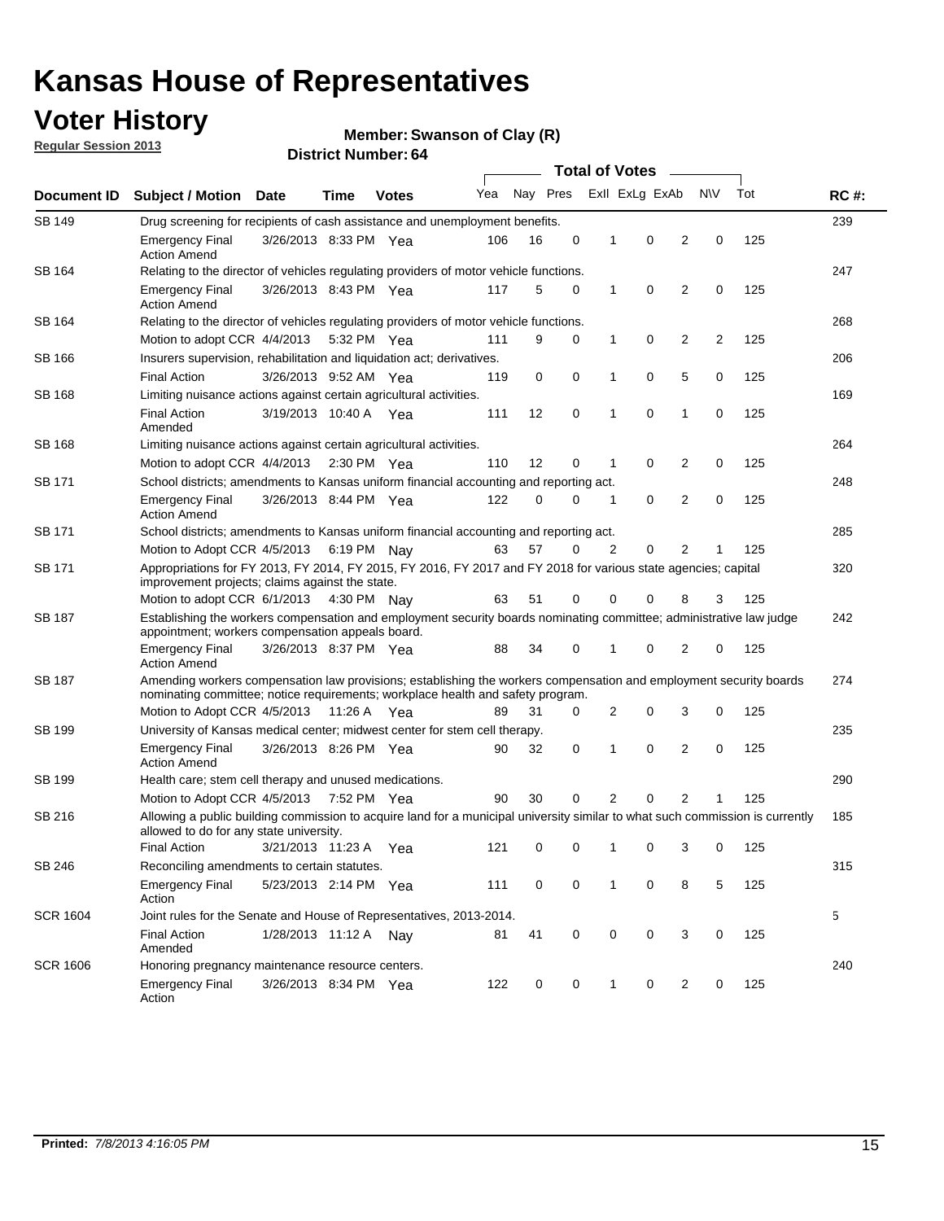## **Voter History**

**Member: Swanson of Clay (R)** 

**Regular Session 2013**

| Document ID     |                                                                                                                                                                                                       |                                                                                                                                                                         |             |              |     |          | <b>Total of Votes</b> |   |                | $\sim$         |           |     | <b>RC#:</b> |  |
|-----------------|-------------------------------------------------------------------------------------------------------------------------------------------------------------------------------------------------------|-------------------------------------------------------------------------------------------------------------------------------------------------------------------------|-------------|--------------|-----|----------|-----------------------|---|----------------|----------------|-----------|-----|-------------|--|
|                 | <b>Subject / Motion Date</b>                                                                                                                                                                          |                                                                                                                                                                         | Time        | <b>Votes</b> | Yea | Nay Pres |                       |   | Exll ExLg ExAb |                | <b>NV</b> | Tot |             |  |
| SB 149          |                                                                                                                                                                                                       | Drug screening for recipients of cash assistance and unemployment benefits.                                                                                             |             |              |     |          |                       |   |                |                |           |     |             |  |
|                 | <b>Emergency Final</b><br><b>Action Amend</b>                                                                                                                                                         | 3/26/2013 8:33 PM Yea                                                                                                                                                   |             |              | 106 | 16       | 0                     | 1 | 0              | 2              | 0         | 125 |             |  |
| SB 164          | Relating to the director of vehicles regulating providers of motor vehicle functions.                                                                                                                 |                                                                                                                                                                         |             |              |     |          |                       |   |                |                |           |     | 247         |  |
|                 | <b>Emergency Final</b><br><b>Action Amend</b>                                                                                                                                                         | 3/26/2013 8:43 PM Yea                                                                                                                                                   |             |              | 117 | 5        | 0                     | 1 | 0              | 2              | 0         | 125 |             |  |
| SB 164          | Relating to the director of vehicles regulating providers of motor vehicle functions.                                                                                                                 |                                                                                                                                                                         |             |              |     |          |                       |   |                |                |           |     | 268         |  |
|                 | Motion to adopt CCR 4/4/2013                                                                                                                                                                          |                                                                                                                                                                         | 5:32 PM Yea |              | 111 | 9        | 0                     | 1 | 0              | 2              | 2         | 125 |             |  |
| SB 166          | Insurers supervision, rehabilitation and liquidation act; derivatives.                                                                                                                                |                                                                                                                                                                         |             |              |     |          |                       |   |                |                |           |     | 206         |  |
|                 | <b>Final Action</b>                                                                                                                                                                                   | 3/26/2013 9:52 AM Yea                                                                                                                                                   |             |              | 119 | 0        | 0                     | 1 | 0              | 5              | 0         | 125 |             |  |
| SB 168          | Limiting nuisance actions against certain agricultural activities.                                                                                                                                    |                                                                                                                                                                         |             |              |     |          |                       |   |                |                |           |     | 169         |  |
|                 | <b>Final Action</b><br>Amended                                                                                                                                                                        | 3/19/2013 10:40 A Yea                                                                                                                                                   |             |              | 111 | 12       | 0                     | 1 | 0              | 1              | 0         | 125 |             |  |
| SB 168          | Limiting nuisance actions against certain agricultural activities.                                                                                                                                    |                                                                                                                                                                         |             |              |     |          |                       |   |                |                |           |     | 264         |  |
|                 | Motion to adopt CCR 4/4/2013                                                                                                                                                                          |                                                                                                                                                                         | 2:30 PM Yea |              | 110 | 12       | 0                     | 1 | 0              | 2              | 0         | 125 |             |  |
| <b>SB 171</b>   | School districts; amendments to Kansas uniform financial accounting and reporting act.                                                                                                                |                                                                                                                                                                         |             |              |     |          |                       |   |                |                |           |     | 248         |  |
|                 | <b>Emergency Final</b><br><b>Action Amend</b>                                                                                                                                                         | 3/26/2013 8:44 PM Yea                                                                                                                                                   |             |              | 122 | 0        | 0                     | 1 | 0              | 2              | 0         | 125 |             |  |
| SB 171          | School districts; amendments to Kansas uniform financial accounting and reporting act.                                                                                                                |                                                                                                                                                                         |             |              |     |          |                       |   |                |                |           |     | 285         |  |
|                 |                                                                                                                                                                                                       | Motion to Adopt CCR 4/5/2013 6:19 PM Nay<br>57<br>2<br>0<br>2<br>125<br>63<br>0<br>1                                                                                    |             |              |     |          |                       |   |                |                |           |     |             |  |
| SB 171          | Appropriations for FY 2013, FY 2014, FY 2015, FY 2016, FY 2017 and FY 2018 for various state agencies; capital<br>improvement projects; claims against the state.                                     |                                                                                                                                                                         |             |              |     |          |                       |   |                |                |           | 320 |             |  |
|                 | Motion to adopt CCR 6/1/2013 4:30 PM Nay                                                                                                                                                              |                                                                                                                                                                         |             |              | 63  | 51       | 0                     | 0 | 0              | 8              | 3         | 125 |             |  |
| SB 187          |                                                                                                                                                                                                       | Establishing the workers compensation and employment security boards nominating committee; administrative law judge<br>appointment; workers compensation appeals board. |             |              |     |          |                       |   |                |                |           |     | 242         |  |
|                 | <b>Emergency Final</b><br><b>Action Amend</b>                                                                                                                                                         | 3/26/2013 8:37 PM Yea                                                                                                                                                   |             |              | 88  | 34       | 0                     | 1 | 0              | 2              | 0         | 125 |             |  |
| SB 187          | Amending workers compensation law provisions; establishing the workers compensation and employment security boards<br>nominating committee; notice requirements; workplace health and safety program. |                                                                                                                                                                         |             |              |     |          |                       |   |                |                |           |     | 274         |  |
|                 | Motion to Adopt CCR 4/5/2013 11:26 A Yea                                                                                                                                                              |                                                                                                                                                                         |             |              | 89  | 31       | 0                     | 2 | 0              | 3              | 0         | 125 |             |  |
| SB 199          | University of Kansas medical center; midwest center for stem cell therapy.                                                                                                                            |                                                                                                                                                                         |             |              |     |          |                       |   |                |                |           |     | 235         |  |
|                 | <b>Emergency Final</b><br><b>Action Amend</b>                                                                                                                                                         | 3/26/2013 8:26 PM Yea                                                                                                                                                   |             |              | 90  | 32       | 0                     | 1 | 0              | 2              | 0         | 125 |             |  |
| SB 199          | Health care; stem cell therapy and unused medications.                                                                                                                                                |                                                                                                                                                                         |             |              |     |          |                       |   |                |                |           |     | 290         |  |
|                 | Motion to Adopt CCR 4/5/2013                                                                                                                                                                          |                                                                                                                                                                         | 7:52 PM Yea |              | 90  | 30       | 0                     | 2 | 0              | $\overline{2}$ | 1         | 125 |             |  |
| SB 216          | Allowing a public building commission to acquire land for a municipal university similar to what such commission is currently<br>allowed to do for any state university.                              |                                                                                                                                                                         |             |              |     |          |                       |   |                |                |           |     | 185         |  |
|                 | <b>Final Action</b>                                                                                                                                                                                   | 3/21/2013 11:23 A Yea                                                                                                                                                   |             |              | 121 | 0        | 0                     | 1 | 0              | 3              | 0         | 125 |             |  |
| SB 246          | Reconciling amendments to certain statutes.                                                                                                                                                           |                                                                                                                                                                         |             |              |     |          |                       |   |                |                |           |     | 315         |  |
|                 | <b>Emergency Final</b><br>Action                                                                                                                                                                      | 5/23/2013 2:14 PM Yea                                                                                                                                                   |             |              | 111 | 0        | 0                     | 1 | 0              | 8              | 5         | 125 |             |  |
| <b>SCR 1604</b> | Joint rules for the Senate and House of Representatives, 2013-2014.                                                                                                                                   |                                                                                                                                                                         |             |              |     |          |                       |   |                |                |           |     | 5           |  |
|                 | <b>Final Action</b><br>Amended                                                                                                                                                                        | 1/28/2013 11:12 A Nay                                                                                                                                                   |             |              | 81  | 41       | 0                     | 0 | 0              | 3              | 0         | 125 |             |  |
| <b>SCR 1606</b> | Honoring pregnancy maintenance resource centers.                                                                                                                                                      |                                                                                                                                                                         |             |              |     |          |                       |   |                |                |           |     | 240         |  |
|                 | Emergency Final<br>Action                                                                                                                                                                             | 3/26/2013 8:34 PM Yea                                                                                                                                                   |             |              | 122 | 0        | 0                     | 1 | 0              | 2              | 0         | 125 |             |  |